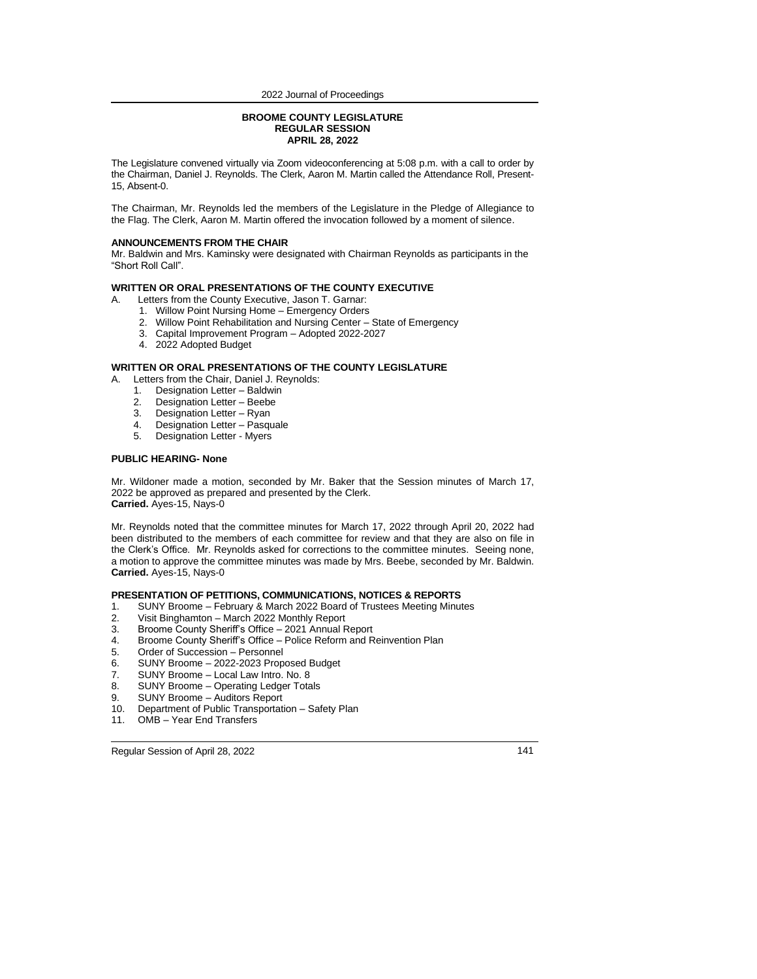#### **BROOME COUNTY LEGISLATURE REGULAR SESSION APRIL 28, 2022**

The Legislature convened virtually via Zoom videoconferencing at 5:08 p.m. with a call to order by the Chairman, Daniel J. Reynolds. The Clerk, Aaron M. Martin called the Attendance Roll, Present-15, Absent-0.

The Chairman, Mr. Reynolds led the members of the Legislature in the Pledge of Allegiance to the Flag. The Clerk, Aaron M. Martin offered the invocation followed by a moment of silence.

#### **ANNOUNCEMENTS FROM THE CHAIR**

Mr. Baldwin and Mrs. Kaminsky were designated with Chairman Reynolds as participants in the "Short Roll Call".

#### **WRITTEN OR ORAL PRESENTATIONS OF THE COUNTY EXECUTIVE**

- A. Letters from the County Executive, Jason T. Garnar:
	- 1. Willow Point Nursing Home Emergency Orders
	- 2. Willow Point Rehabilitation and Nursing Center State of Emergency
	- 3. Capital Improvement Program Adopted 2022-2027
	- 4. 2022 Adopted Budget

## **WRITTEN OR ORAL PRESENTATIONS OF THE COUNTY LEGISLATURE**

- A. Letters from the Chair, Daniel J. Reynolds:
	- 1. Designation Letter Baldwin<br>2. Designation Letter Beebe
	- 2. Designation Letter Beebe<br>3. Designation Letter Ryan
	- Designation Letter Ryan
	- 4. Designation Letter Pasquale
	- 5. Designation Letter Myers

#### **PUBLIC HEARING- None**

Mr. Wildoner made a motion, seconded by Mr. Baker that the Session minutes of March 17, 2022 be approved as prepared and presented by the Clerk. **Carried.** Ayes-15, Nays-0

Mr. Reynolds noted that the committee minutes for March 17, 2022 through April 20, 2022 had been distributed to the members of each committee for review and that they are also on file in the Clerk's Office. Mr. Reynolds asked for corrections to the committee minutes. Seeing none, a motion to approve the committee minutes was made by Mrs. Beebe, seconded by Mr. Baldwin. **Carried.** Ayes-15, Nays-0

## **PRESENTATION OF PETITIONS, COMMUNICATIONS, NOTICES & REPORTS**

- 1. SUNY Broome February & March 2022 Board of Trustees Meeting Minutes<br>2. Visit Binghamton March 2022 Monthly Report
- 2. Visit Binghamton March 2022 Monthly Report
- 3. Broome County Sheriff's Office 2021 Annual Report
- 4. Broome County Sheriff's Office Police Reform and Reinvention Plan
- 5. Order of Succession Personnel<br>6. SUNY Broome 2022-2023 Prop
- 6. SUNY Broome 2022-2023 Proposed Budget
- 7. SUNY Broome Local Law Intro. No. 8
- 8. SUNY Broome Operating Ledger Totals
- 9. SUNY Broome Auditors Report<br>10. Department of Public Transportati
- **Department of Public Transportation Safety Plan**
- 11. OMB Year End Transfers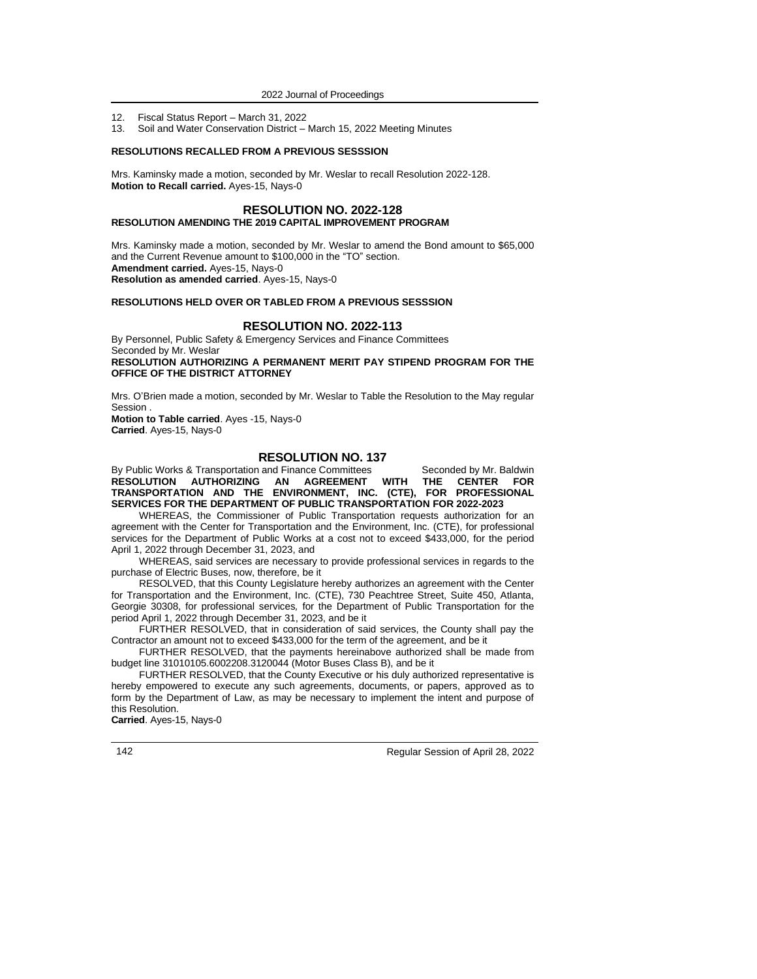- 12. Fiscal Status Report March 31, 2022
- 13. Soil and Water Conservation District March 15, 2022 Meeting Minutes

## **RESOLUTIONS RECALLED FROM A PREVIOUS SESSSION**

Mrs. Kaminsky made a motion, seconded by Mr. Weslar to recall Resolution 2022-128. **Motion to Recall carried.** Ayes-15, Nays-0

## **RESOLUTION NO. 2022-128 RESOLUTION AMENDING THE 2019 CAPITAL IMPROVEMENT PROGRAM**

Mrs. Kaminsky made a motion, seconded by Mr. Weslar to amend the Bond amount to \$65,000 and the Current Revenue amount to \$100,000 in the "TO" section. **Amendment carried.** Ayes-15, Nays-0 **Resolution as amended carried**. Ayes-15, Nays-0

# **RESOLUTIONS HELD OVER OR TABLED FROM A PREVIOUS SESSSION**

# **RESOLUTION NO. 2022-113**

By Personnel, Public Safety & Emergency Services and Finance Committees Seconded by Mr. Weslar **RESOLUTION AUTHORIZING A PERMANENT MERIT PAY STIPEND PROGRAM FOR THE OFFICE OF THE DISTRICT ATTORNEY**

Mrs. O'Brien made a motion, seconded by Mr. Weslar to Table the Resolution to the May regular Session .

**Motion to Table carried**. Ayes -15, Nays-0 **Carried**. Ayes-15, Nays-0

# **RESOLUTION NO. 137**

By Public Works & Transportation and Finance Committees Seconded by Mr. Baldwin<br>RESOLUTION AUTHORIZING AN AGREEMENT WITH THE CENTER FOR **RESOLUTION AUTHORIZING TRANSPORTATION AND THE ENVIRONMENT, INC. (CTE), FOR PROFESSIONAL SERVICES FOR THE DEPARTMENT OF PUBLIC TRANSPORTATION FOR 2022-2023**

WHEREAS, the Commissioner of Public Transportation requests authorization for an agreement with the Center for Transportation and the Environment, Inc. (CTE), for professional services for the Department of Public Works at a cost not to exceed \$433,000, for the period April 1, 2022 through December 31, 2023, and

WHEREAS, said services are necessary to provide professional services in regards to the purchase of Electric Buses*,* now, therefore, be it

RESOLVED, that this County Legislature hereby authorizes an agreement with the Center for Transportation and the Environment, Inc. (CTE), 730 Peachtree Street, Suite 450, Atlanta, Georgie 30308, for professional services*,* for the Department of Public Transportation for the period April 1, 2022 through December 31, 2023, and be it

FURTHER RESOLVED, that in consideration of said services, the County shall pay the Contractor an amount not to exceed \$433,000 for the term of the agreement, and be it

FURTHER RESOLVED, that the payments hereinabove authorized shall be made from budget line 31010105.6002208.3120044 (Motor Buses Class B), and be it

FURTHER RESOLVED, that the County Executive or his duly authorized representative is hereby empowered to execute any such agreements, documents, or papers, approved as to form by the Department of Law, as may be necessary to implement the intent and purpose of this Resolution.

**Carried**. Ayes-15, Nays-0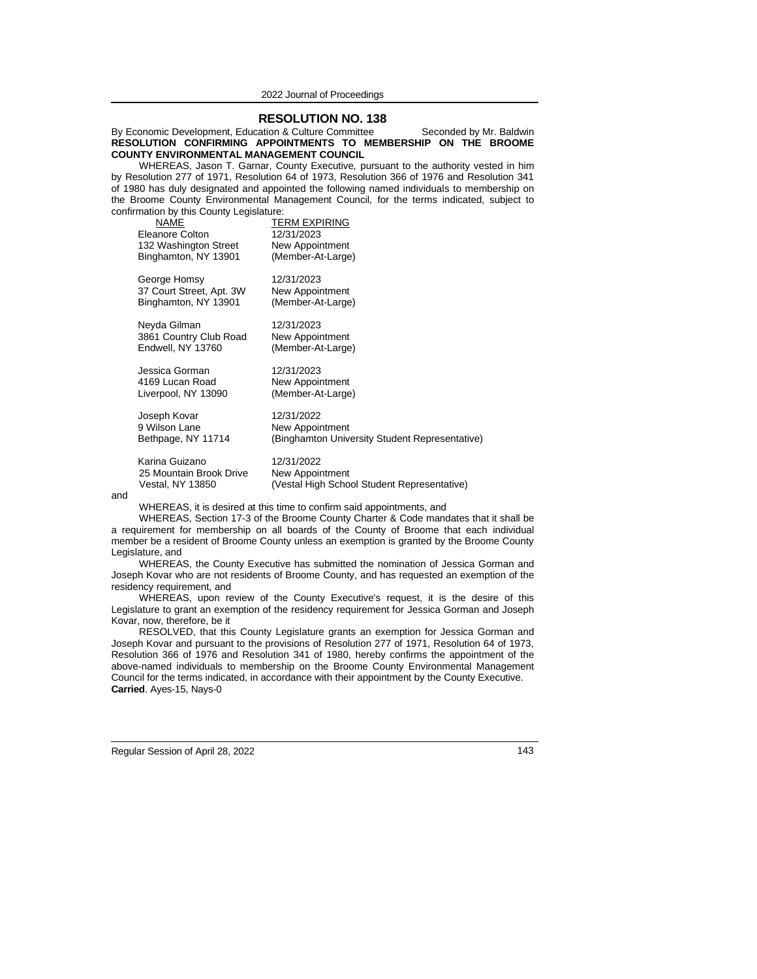**RESOLUTION NO. 138** By Economic Development, Education & Culture Committee Seconded by Mr. Baldwin **RESOLUTION CONFIRMING APPOINTMENTS TO MEMBERSHIP ON THE BROOME COUNTY ENVIRONMENTAL MANAGEMENT COUNCIL**

WHEREAS, Jason T. Garnar, County Executive*,* pursuant to the authority vested in him by Resolution 277 of 1971, Resolution 64 of 1973, Resolution 366 of 1976 and Resolution 341 of 1980 has duly designated and appointed the following named individuals to membership on the Broome County Environmental Management Council*,* for the terms indicated, subject to confirmation by this County Legislature:

|     | NAME<br>Eleanore Colton<br>132 Washington Street<br>Binghamton, NY 13901 | TERM EXPIRING<br>12/31/2023<br>New Appointment<br>(Member-At-Large)                 |  |  |  |
|-----|--------------------------------------------------------------------------|-------------------------------------------------------------------------------------|--|--|--|
|     | George Homsy<br>37 Court Street, Apt. 3W<br>Binghamton, NY 13901         | 12/31/2023<br>New Appointment<br>(Member-At-Large)                                  |  |  |  |
|     | Neyda Gilman<br>3861 Country Club Road<br>Endwell, NY 13760              | 12/31/2023<br>New Appointment<br>(Member-At-Large)                                  |  |  |  |
|     | Jessica Gorman<br>4169 Lucan Road<br>Liverpool, NY 13090                 | 12/31/2023<br>New Appointment<br>(Member-At-Large)                                  |  |  |  |
|     | Joseph Kovar<br>9 Wilson Lane<br>Bethpage, NY 11714                      | 12/31/2022<br>New Appointment<br>(Binghamton University Student Representative)     |  |  |  |
|     | Karina Guizano<br>25 Mountain Brook Drive<br>Vestal, NY 13850            | 12/31/2022<br><b>New Appointment</b><br>(Vestal High School Student Representative) |  |  |  |
| and | WHEREAS, it is desired at this time to confirm said appointments, and    |                                                                                     |  |  |  |

WHEREAS, Section 17-3 of the Broome County Charter & Code mandates that it shall be a requirement for membership on all boards of the County of Broome that each individual member be a resident of Broome County unless an exemption is granted by the Broome County Legislature, and

WHEREAS, the County Executive has submitted the nomination of Jessica Gorman and Joseph Kovar who are not residents of Broome County, and has requested an exemption of the residency requirement, and

WHEREAS, upon review of the County Executive's request, it is the desire of this Legislature to grant an exemption of the residency requirement for Jessica Gorman and Joseph Kovar, now, therefore, be it

RESOLVED, that this County Legislature grants an exemption for Jessica Gorman and Joseph Kovar and pursuant to the provisions of Resolution 277 of 1971, Resolution 64 of 1973, Resolution 366 of 1976 and Resolution 341 of 1980, hereby confirms the appointment of the above-named individuals to membership on the Broome County Environmental Management Council for the terms indicated, in accordance with their appointment by the County Executive. **Carried**. Ayes-15, Nays-0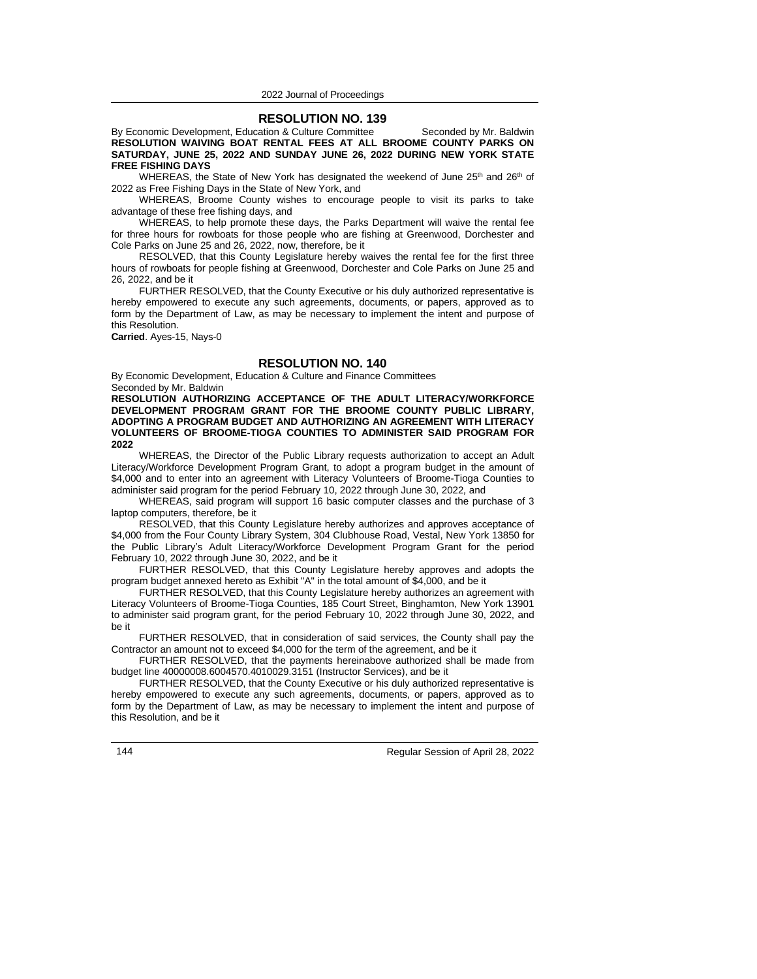## **RESOLUTION NO. 139**

By Economic Development, Education & Culture Committee Seconded by Mr. Baldwin **RESOLUTION WAIVING BOAT RENTAL FEES AT ALL BROOME COUNTY PARKS ON SATURDAY, JUNE 25, 2022 AND SUNDAY JUNE 26, 2022 DURING NEW YORK STATE FREE FISHING DAYS**

WHEREAS, the State of New York has designated the weekend of June  $25<sup>th</sup>$  and  $26<sup>th</sup>$  of 2022 as Free Fishing Days in the State of New York, and

WHEREAS, Broome County wishes to encourage people to visit its parks to take advantage of these free fishing days, and

WHEREAS, to help promote these days, the Parks Department will waive the rental fee for three hours for rowboats for those people who are fishing at Greenwood, Dorchester and Cole Parks on June 25 and 26, 2022, now, therefore, be it

RESOLVED, that this County Legislature hereby waives the rental fee for the first three hours of rowboats for people fishing at Greenwood, Dorchester and Cole Parks on June 25 and 26, 2022, and be it

FURTHER RESOLVED, that the County Executive or his duly authorized representative is hereby empowered to execute any such agreements, documents, or papers, approved as to form by the Department of Law, as may be necessary to implement the intent and purpose of this Resolution.

**Carried**. Ayes-15, Nays-0

## **RESOLUTION NO. 140**

By Economic Development, Education & Culture and Finance Committees Seconded by Mr. Baldwin

**RESOLUTION AUTHORIZING ACCEPTANCE OF THE ADULT LITERACY/WORKFORCE DEVELOPMENT PROGRAM GRANT FOR THE BROOME COUNTY PUBLIC LIBRARY, ADOPTING A PROGRAM BUDGET AND AUTHORIZING AN AGREEMENT WITH LITERACY VOLUNTEERS OF BROOME-TIOGA COUNTIES TO ADMINISTER SAID PROGRAM FOR 2022**

WHEREAS, the Director of the Public Library requests authorization to accept an Adult Literacy/Workforce Development Program Grant, to adopt a program budget in the amount of \$4,000 and to enter into an agreement with Literacy Volunteers of Broome-Tioga Counties to administer said program for the period February 10, 2022 through June 30, 2022*,* and

WHEREAS, said program will support 16 basic computer classes and the purchase of 3 laptop computers, therefore, be it

RESOLVED, that this County Legislature hereby authorizes and approves acceptance of \$4,000 from the Four County Library System, 304 Clubhouse Road, Vestal, New York 13850 for the Public Library's Adult Literacy/Workforce Development Program Grant for the period February 10, 2022 through June 30, 2022, and be it

FURTHER RESOLVED, that this County Legislature hereby approves and adopts the program budget annexed hereto as Exhibit "A" in the total amount of \$4,000, and be it

FURTHER RESOLVED, that this County Legislature hereby authorizes an agreement with Literacy Volunteers of Broome-Tioga Counties, 185 Court Street, Binghamton, New York 13901 to administer said program grant, for the period February 10, 2022 through June 30, 2022, and be it

FURTHER RESOLVED, that in consideration of said services, the County shall pay the Contractor an amount not to exceed \$4,000 for the term of the agreement, and be it

FURTHER RESOLVED, that the payments hereinabove authorized shall be made from budget line 40000008.6004570.4010029.3151 (Instructor Services), and be it

FURTHER RESOLVED, that the County Executive or his duly authorized representative is hereby empowered to execute any such agreements, documents, or papers, approved as to form by the Department of Law, as may be necessary to implement the intent and purpose of this Resolution, and be it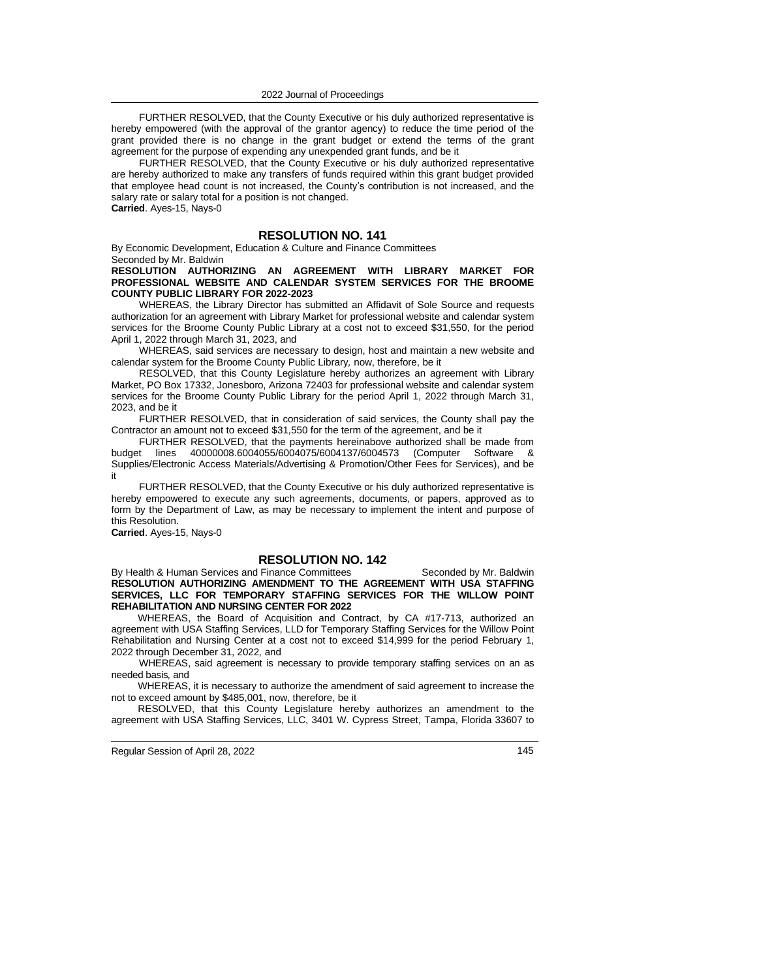FURTHER RESOLVED, that the County Executive or his duly authorized representative is hereby empowered (with the approval of the grantor agency) to reduce the time period of the grant provided there is no change in the grant budget or extend the terms of the grant agreement for the purpose of expending any unexpended grant funds, and be it

FURTHER RESOLVED, that the County Executive or his duly authorized representative are hereby authorized to make any transfers of funds required within this grant budget provided that employee head count is not increased, the County's contribution is not increased, and the salary rate or salary total for a position is not changed. **Carried**. Ayes-15, Nays-0

## **RESOLUTION NO. 141**

By Economic Development, Education & Culture and Finance Committees Seconded by Mr. Baldwin

## **RESOLUTION AUTHORIZING AN AGREEMENT WITH LIBRARY MARKET FOR PROFESSIONAL WEBSITE AND CALENDAR SYSTEM SERVICES FOR THE BROOME COUNTY PUBLIC LIBRARY FOR 2022-2023**

WHEREAS, the Library Director has submitted an Affidavit of Sole Source and requests authorization for an agreement with Library Market for professional website and calendar system services for the Broome County Public Library at a cost not to exceed \$31,550, for the period April 1, 2022 through March 31, 2023, and

WHEREAS, said services are necessary to design, host and maintain a new website and calendar system for the Broome County Public Library*,* now, therefore, be it

RESOLVED, that this County Legislature hereby authorizes an agreement with Library Market, PO Box 17332, Jonesboro, Arizona 72403 for professional website and calendar system services for the Broome County Public Library for the period April 1, 2022 through March 31, 2023, and be it

FURTHER RESOLVED, that in consideration of said services, the County shall pay the Contractor an amount not to exceed \$31,550 for the term of the agreement, and be it

FURTHER RESOLVED, that the payments hereinabove authorized shall be made from budget lines 40000008.6004055/6004075/6004137/6004573 (Computer Software & Supplies/Electronic Access Materials/Advertising & Promotion/Other Fees for Services), and be it

FURTHER RESOLVED, that the County Executive or his duly authorized representative is hereby empowered to execute any such agreements, documents, or papers, approved as to form by the Department of Law, as may be necessary to implement the intent and purpose of this Resolution.

**Carried**. Ayes-15, Nays-0

# **RESOLUTION NO. 142**

By Health & Human Services and Finance Committees Seconded by Mr. Baldwin **RESOLUTION AUTHORIZING AMENDMENT TO THE AGREEMENT WITH USA STAFFING SERVICES, LLC FOR TEMPORARY STAFFING SERVICES FOR THE WILLOW POINT REHABILITATION AND NURSING CENTER FOR 2022**

WHEREAS, the Board of Acquisition and Contract, by CA #17-713, authorized an agreement with USA Staffing Services, LLD for Temporary Staffing Services for the Willow Point Rehabilitation and Nursing Center at a cost not to exceed \$14,999 for the period February 1, 2022 through December 31, 2022*,* and

WHEREAS, said agreement is necessary to provide temporary staffing services on an as needed basis*,* and

WHEREAS, it is necessary to authorize the amendment of said agreement to increase the not to exceed amount by \$485,001, now, therefore, be it

RESOLVED, that this County Legislature hereby authorizes an amendment to the agreement with USA Staffing Services, LLC, 3401 W. Cypress Street, Tampa, Florida 33607 to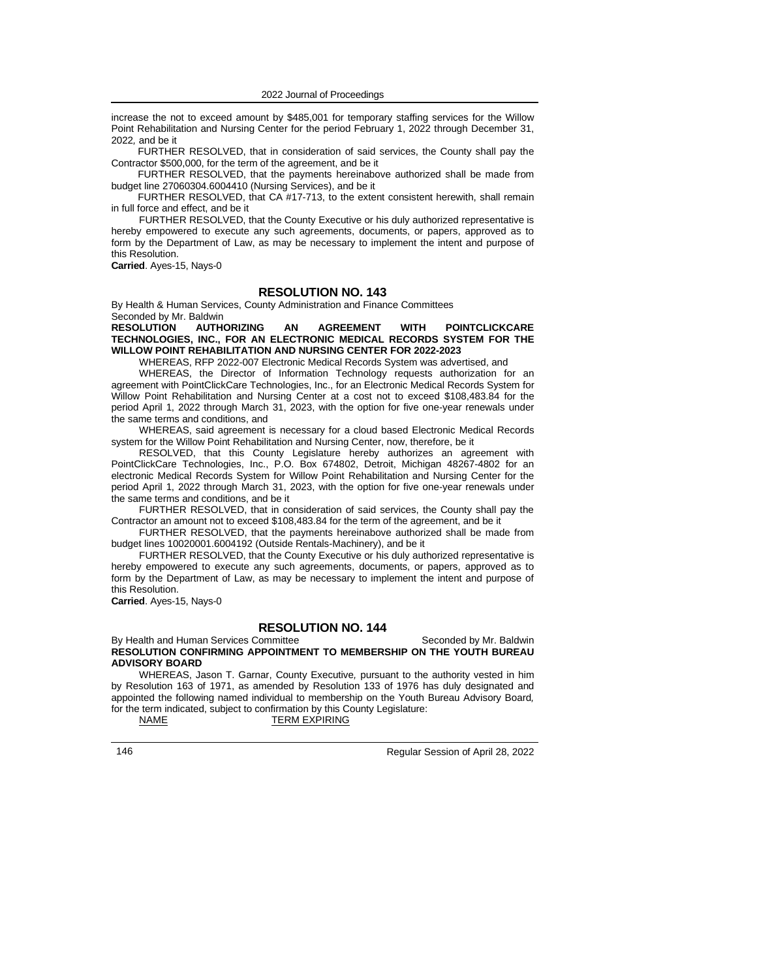increase the not to exceed amount by \$485,001 for temporary staffing services for the Willow Point Rehabilitation and Nursing Center for the period February 1, 2022 through December 31, 2022*,* and be it

FURTHER RESOLVED, that in consideration of said services, the County shall pay the Contractor \$500,000, for the term of the agreement, and be it

FURTHER RESOLVED, that the payments hereinabove authorized shall be made from budget line 27060304.6004410 (Nursing Services), and be it

FURTHER RESOLVED, that CA #17-713, to the extent consistent herewith, shall remain in full force and effect, and be it

FURTHER RESOLVED, that the County Executive or his duly authorized representative is hereby empowered to execute any such agreements, documents, or papers, approved as to form by the Department of Law, as may be necessary to implement the intent and purpose of this Resolution.

**Carried**. Ayes-15, Nays-0

# **RESOLUTION NO. 143**

By Health & Human Services, County Administration and Finance Committees

Seconded by Mr. Baldwin<br>RESOLUTION AUTH **RESOLUTION AUTHORIZING AN AGREEMENT WITH POINTCLICKCARE TECHNOLOGIES, INC., FOR AN ELECTRONIC MEDICAL RECORDS SYSTEM FOR THE WILLOW POINT REHABILITATION AND NURSING CENTER FOR 2022-2023**

WHEREAS, RFP 2022-007 Electronic Medical Records System was advertised, and

WHEREAS, the Director of Information Technology requests authorization for an agreement with PointClickCare Technologies, Inc., for an Electronic Medical Records System for Willow Point Rehabilitation and Nursing Center at a cost not to exceed \$108,483.84 for the period April 1, 2022 through March 31, 2023, with the option for five one-year renewals under the same terms and conditions, and

WHEREAS, said agreement is necessary for a cloud based Electronic Medical Records system for the Willow Point Rehabilitation and Nursing Center, now, therefore, be it

RESOLVED, that this County Legislature hereby authorizes an agreement with PointClickCare Technologies, Inc., P.O. Box 674802, Detroit, Michigan 48267-4802 for an electronic Medical Records System for Willow Point Rehabilitation and Nursing Center for the period April 1, 2022 through March 31, 2023, with the option for five one-year renewals under the same terms and conditions, and be it

FURTHER RESOLVED, that in consideration of said services, the County shall pay the Contractor an amount not to exceed \$108,483.84 for the term of the agreement, and be it

FURTHER RESOLVED, that the payments hereinabove authorized shall be made from budget lines 10020001.6004192 (Outside Rentals-Machinery), and be it

FURTHER RESOLVED, that the County Executive or his duly authorized representative is hereby empowered to execute any such agreements, documents, or papers, approved as to form by the Department of Law, as may be necessary to implement the intent and purpose of this Resolution.

**Carried**. Ayes-15, Nays-0

# **RESOLUTION NO. 144**

## By Health and Human Services Committee Seconded by Mr. Baldwin **RESOLUTION CONFIRMING APPOINTMENT TO MEMBERSHIP ON THE YOUTH BUREAU ADVISORY BOARD**

WHEREAS, Jason T. Garnar, County Executive*,* pursuant to the authority vested in him by Resolution 163 of 1971, as amended by Resolution 133 of 1976 has duly designated and appointed the following named individual to membership on the Youth Bureau Advisory Board*,* for the term indicated, subject to confirmation by this County Legislature:

NAME TERM EXPIRING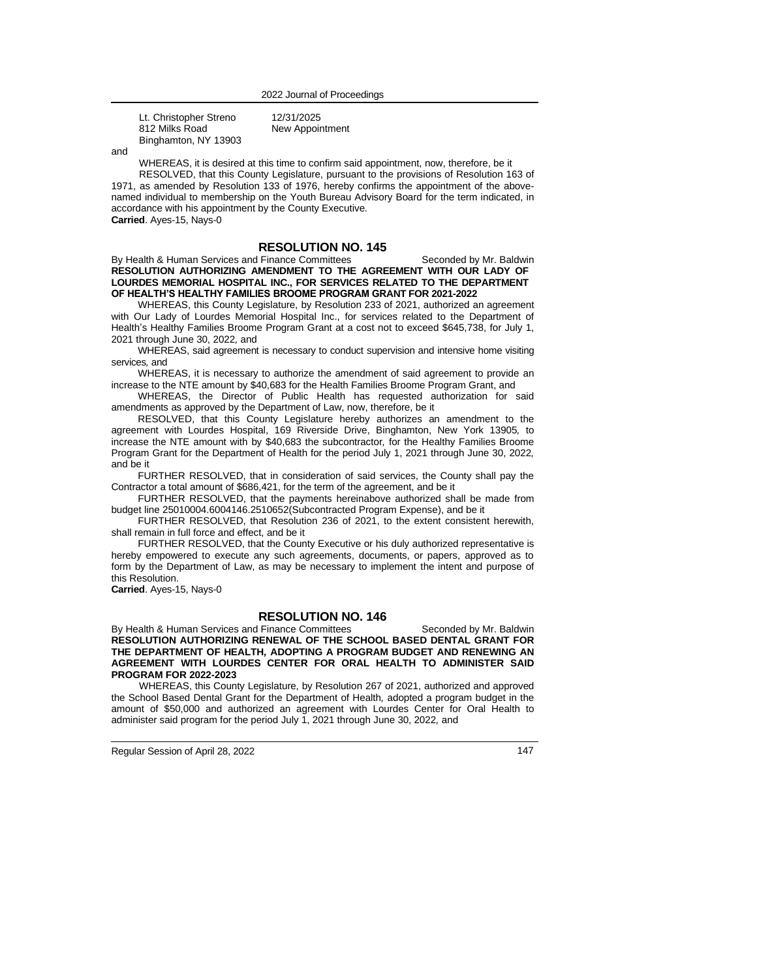| Lt. Christopher Streno | 12/31/2025      |
|------------------------|-----------------|
| 812 Milks Road         | New Appointment |
| Binghamton, NY 13903   |                 |

and

WHEREAS, it is desired at this time to confirm said appointment, now, therefore, be it

RESOLVED, that this County Legislature, pursuant to the provisions of Resolution 163 of 1971, as amended by Resolution 133 of 1976, hereby confirms the appointment of the abovenamed individual to membership on the Youth Bureau Advisory Board for the term indicated, in accordance with his appointment by the County Executive. **Carried**. Ayes-15, Nays-0

# **RESOLUTION NO. 145**

By Health & Human Services and Finance Committees Seconded by Mr. Baldwin **RESOLUTION AUTHORIZING AMENDMENT TO THE AGREEMENT WITH OUR LADY OF LOURDES MEMORIAL HOSPITAL INC., FOR SERVICES RELATED TO THE DEPARTMENT OF HEALTH'S HEALTHY FAMILIES BROOME PROGRAM GRANT FOR 2021-2022**

WHEREAS, this County Legislature, by Resolution 233 of 2021, authorized an agreement with Our Lady of Lourdes Memorial Hospital Inc., for services related to the Department of Health's Healthy Families Broome Program Grant at a cost not to exceed \$645,738, for July 1, 2021 through June 30, 2022*,* and

WHEREAS, said agreement is necessary to conduct supervision and intensive home visiting services*,* and

WHEREAS, it is necessary to authorize the amendment of said agreement to provide an increase to the NTE amount by \$40,683 for the Health Families Broome Program Grant, and

WHEREAS, the Director of Public Health has requested authorization for said amendments as approved by the Department of Law, now, therefore, be it

RESOLVED, that this County Legislature hereby authorizes an amendment to the agreement with Lourdes Hospital, 169 Riverside Drive, Binghamton, New York 13905*,* to increase the NTE amount with by \$40,683 the subcontractor*,* for the Healthy Families Broome Program Grant for the Department of Health for the period July 1, 2021 through June 30, 2022*,* and be it

FURTHER RESOLVED, that in consideration of said services, the County shall pay the Contractor a total amount of \$686,421, for the term of the agreement, and be it

FURTHER RESOLVED, that the payments hereinabove authorized shall be made from budget line 25010004.6004146.2510652(Subcontracted Program Expense), and be it

FURTHER RESOLVED, that Resolution 236 of 2021, to the extent consistent herewith, shall remain in full force and effect, and be it

FURTHER RESOLVED, that the County Executive or his duly authorized representative is hereby empowered to execute any such agreements, documents, or papers, approved as to form by the Department of Law, as may be necessary to implement the intent and purpose of this Resolution.

**Carried**. Ayes-15, Nays-0

## **RESOLUTION NO. 146**

By Health & Human Services and Finance Committees Seconded by Mr. Baldwin **RESOLUTION AUTHORIZING RENEWAL OF THE SCHOOL BASED DENTAL GRANT FOR THE DEPARTMENT OF HEALTH***,* **ADOPTING A PROGRAM BUDGET AND RENEWING AN AGREEMENT WITH LOURDES CENTER FOR ORAL HEALTH TO ADMINISTER SAID PROGRAM FOR 2022-2023**

WHEREAS, this County Legislature, by Resolution 267 of 2021, authorized and approved the School Based Dental Grant for the Department of Health*,* adopted a program budget in the amount of \$50,000 and authorized an agreement with Lourdes Center for Oral Health to administer said program for the period July 1, 2021 through June 30, 2022*,* and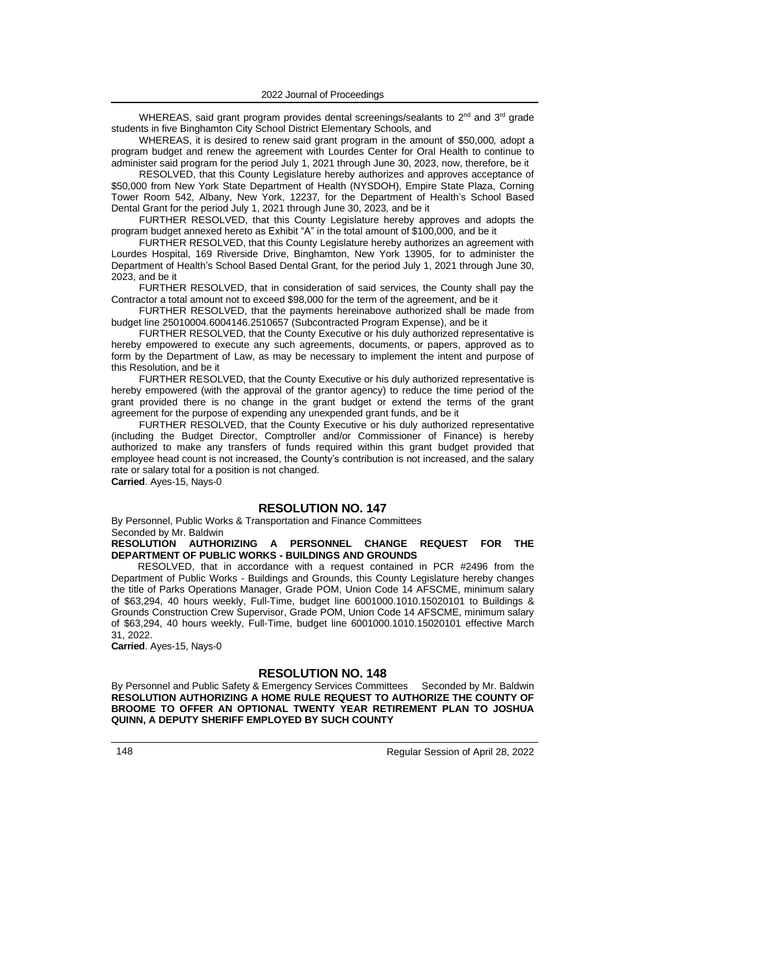WHEREAS, said grant program provides dental screenings/sealants to 2<sup>nd</sup> and 3<sup>rd</sup> grade students in five Binghamton City School District Elementary Schools*,* and

WHEREAS, it is desired to renew said grant program in the amount of \$50,000*,* adopt a program budget and renew the agreement with Lourdes Center for Oral Health to continue to administer said program for the period July 1, 2021 through June 30, 2023, now, therefore, be it

RESOLVED, that this County Legislature hereby authorizes and approves acceptance of \$50,000 from New York State Department of Health (NYSDOH), Empire State Plaza, Corning Tower Room 542, Albany, New York, 12237*,* for the Department of Health's School Based Dental Grant for the period July 1, 2021 through June 30, 2023*,* and be it

FURTHER RESOLVED, that this County Legislature hereby approves and adopts the program budget annexed hereto as Exhibit "A" in the total amount of \$100,000, and be it

FURTHER RESOLVED, that this County Legislature hereby authorizes an agreement with Lourdes Hospital, 169 Riverside Drive, Binghamton, New York 13905, for to administer the Department of Health's School Based Dental Grant*,* for the period July 1, 2021 through June 30, 2023, and be it

FURTHER RESOLVED, that in consideration of said services, the County shall pay the Contractor a total amount not to exceed \$98,000 for the term of the agreement, and be it

FURTHER RESOLVED, that the payments hereinabove authorized shall be made from budget line 25010004.6004146.2510657 (Subcontracted Program Expense), and be it

FURTHER RESOLVED, that the County Executive or his duly authorized representative is hereby empowered to execute any such agreements, documents, or papers, approved as to form by the Department of Law, as may be necessary to implement the intent and purpose of this Resolution, and be it

FURTHER RESOLVED, that the County Executive or his duly authorized representative is hereby empowered (with the approval of the grantor agency) to reduce the time period of the grant provided there is no change in the grant budget or extend the terms of the grant agreement for the purpose of expending any unexpended grant funds, and be it

FURTHER RESOLVED, that the County Executive or his duly authorized representative (including the Budget Director, Comptroller and/or Commissioner of Finance) is hereby authorized to make any transfers of funds required within this grant budget provided that employee head count is not increased, the County's contribution is not increased, and the salary rate or salary total for a position is not changed.

**Carried**. Ayes-15, Nays-0

# **RESOLUTION NO. 147**

By Personnel, Public Works & Transportation and Finance Committees Seconded by Mr. Baldwin

**RESOLUTION AUTHORIZING A PERSONNEL CHANGE REQUEST FOR THE DEPARTMENT OF PUBLIC WORKS - BUILDINGS AND GROUNDS**

RESOLVED, that in accordance with a request contained in PCR #2496 from the Department of Public Works - Buildings and Grounds, this County Legislature hereby changes the title of Parks Operations Manager, Grade POM, Union Code 14 AFSCME, minimum salary of \$63,294, 40 hours weekly, Full-Time, budget line 6001000.1010.15020101 to Buildings & Grounds Construction Crew Supervisor, Grade POM, Union Code 14 AFSCME, minimum salary of \$63,294, 40 hours weekly, Full-Time, budget line 6001000.1010.15020101 effective March 31, 2022.

**Carried**. Ayes-15, Nays-0

# **RESOLUTION NO. 148**

By Personnel and Public Safety & Emergency Services Committees Seconded by Mr. Baldwin **RESOLUTION AUTHORIZING A HOME RULE REQUEST TO AUTHORIZE THE COUNTY OF BROOME TO OFFER AN OPTIONAL TWENTY YEAR RETIREMENT PLAN TO JOSHUA QUINN, A DEPUTY SHERIFF EMPLOYED BY SUCH COUNTY**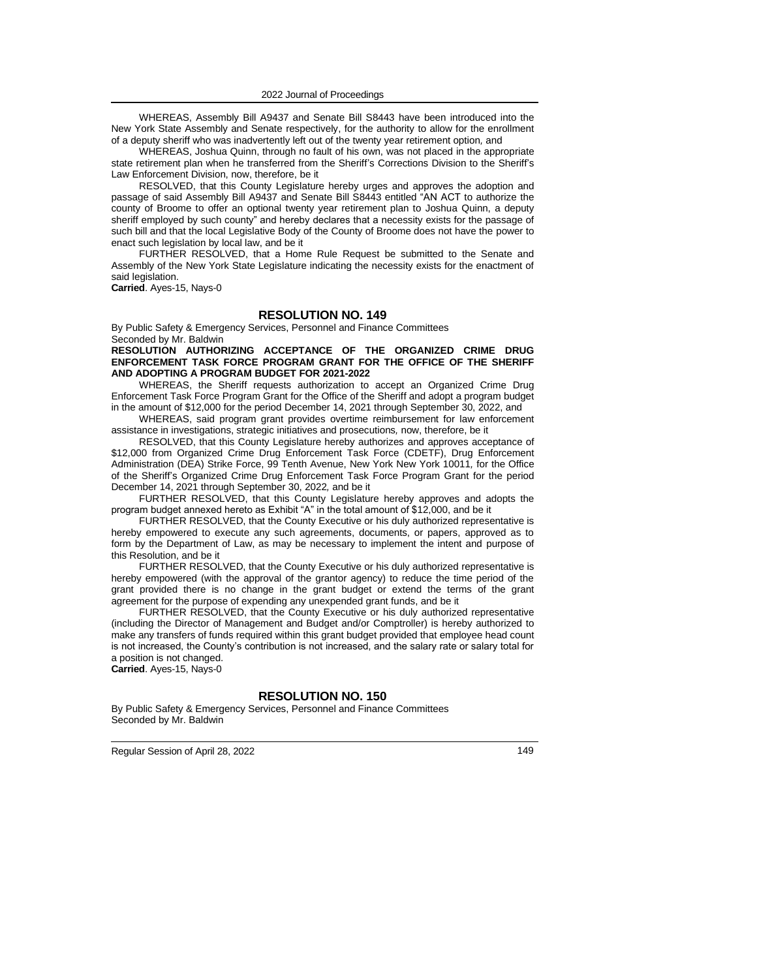WHEREAS, Assembly Bill A9437 and Senate Bill S8443 have been introduced into the New York State Assembly and Senate respectively, for the authority to allow for the enrollment of a deputy sheriff who was inadvertently left out of the twenty year retirement option*,* and

WHEREAS, Joshua Quinn, through no fault of his own, was not placed in the appropriate state retirement plan when he transferred from the Sheriff's Corrections Division to the Sheriff's Law Enforcement Division, now, therefore, be it

RESOLVED, that this County Legislature hereby urges and approves the adoption and passage of said Assembly Bill A9437 and Senate Bill S8443 entitled "AN ACT to authorize the county of Broome to offer an optional twenty year retirement plan to Joshua Quinn, a deputy sheriff employed by such county" and hereby declares that a necessity exists for the passage of such bill and that the local Legislative Body of the County of Broome does not have the power to enact such legislation by local law, and be it

FURTHER RESOLVED, that a Home Rule Request be submitted to the Senate and Assembly of the New York State Legislature indicating the necessity exists for the enactment of said legislation.

**Carried**. Ayes-15, Nays-0

## **RESOLUTION NO. 149**

By Public Safety & Emergency Services, Personnel and Finance Committees Seconded by Mr. Baldwin

**RESOLUTION AUTHORIZING ACCEPTANCE OF THE ORGANIZED CRIME DRUG ENFORCEMENT TASK FORCE PROGRAM GRANT FOR THE OFFICE OF THE SHERIFF AND ADOPTING A PROGRAM BUDGET FOR 2021-2022**

WHEREAS, the Sheriff requests authorization to accept an Organized Crime Drug Enforcement Task Force Program Grant for the Office of the Sheriff and adopt a program budget in the amount of \$12,000 for the period December 14, 2021 through September 30, 2022, and

WHEREAS, said program grant provides overtime reimbursement for law enforcement assistance in investigations, strategic initiatives and prosecutions*,* now, therefore, be it

RESOLVED, that this County Legislature hereby authorizes and approves acceptance of \$12,000 from Organized Crime Drug Enforcement Task Force (CDETF), Drug Enforcement Administration (DEA) Strike Force, 99 Tenth Avenue, New York New York 10011*,* for the Office of the Sheriff's Organized Crime Drug Enforcement Task Force Program Grant for the period December 14, 2021 through September 30, 2022*,* and be it

FURTHER RESOLVED, that this County Legislature hereby approves and adopts the program budget annexed hereto as Exhibit "A" in the total amount of \$12,000, and be it

FURTHER RESOLVED, that the County Executive or his duly authorized representative is hereby empowered to execute any such agreements, documents, or papers, approved as to form by the Department of Law, as may be necessary to implement the intent and purpose of this Resolution, and be it

FURTHER RESOLVED, that the County Executive or his duly authorized representative is hereby empowered (with the approval of the grantor agency) to reduce the time period of the grant provided there is no change in the grant budget or extend the terms of the grant agreement for the purpose of expending any unexpended grant funds, and be it

FURTHER RESOLVED, that the County Executive or his duly authorized representative (including the Director of Management and Budget and/or Comptroller) is hereby authorized to make any transfers of funds required within this grant budget provided that employee head count is not increased, the County's contribution is not increased, and the salary rate or salary total for a position is not changed.

**Carried**. Ayes-15, Nays-0

## **RESOLUTION NO. 150**

By Public Safety & Emergency Services, Personnel and Finance Committees Seconded by Mr. Baldwin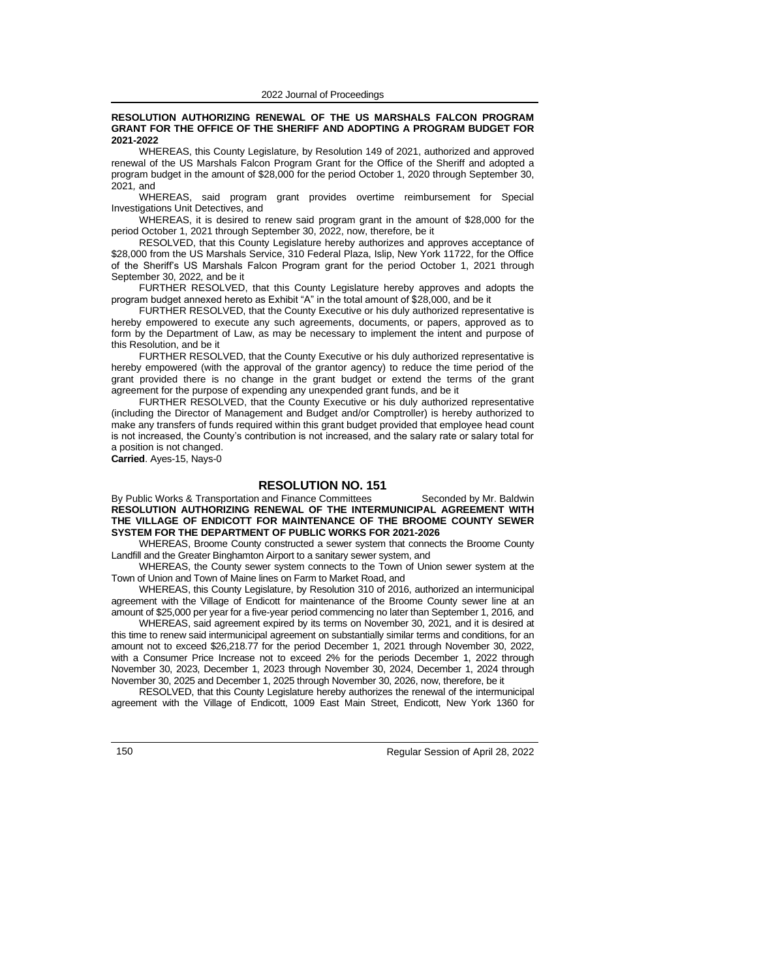#### **RESOLUTION AUTHORIZING RENEWAL OF THE US MARSHALS FALCON PROGRAM GRANT FOR THE OFFICE OF THE SHERIFF AND ADOPTING A PROGRAM BUDGET FOR 2021-2022**

WHEREAS, this County Legislature, by Resolution 149 of 2021, authorized and approved renewal of the US Marshals Falcon Program Grant for the Office of the Sheriff and adopted a program budget in the amount of \$28,000 for the period October 1, 2020 through September 30, 2021*,* and

WHEREAS, said program grant provides overtime reimbursement for Special Investigations Unit Detectives, and

WHEREAS, it is desired to renew said program grant in the amount of \$28,000 for the period October 1, 2021 through September 30, 2022, now, therefore, be it

RESOLVED, that this County Legislature hereby authorizes and approves acceptance of \$28,000 from the US Marshals Service, 310 Federal Plaza, Islip, New York 11722, for the Office of the Sheriff's US Marshals Falcon Program grant for the period October 1, 2021 through September 30, 2022*,* and be it

FURTHER RESOLVED, that this County Legislature hereby approves and adopts the program budget annexed hereto as Exhibit "A" in the total amount of \$28,000, and be it

FURTHER RESOLVED, that the County Executive or his duly authorized representative is hereby empowered to execute any such agreements, documents, or papers, approved as to form by the Department of Law, as may be necessary to implement the intent and purpose of this Resolution, and be it

FURTHER RESOLVED, that the County Executive or his duly authorized representative is hereby empowered (with the approval of the grantor agency) to reduce the time period of the grant provided there is no change in the grant budget or extend the terms of the grant agreement for the purpose of expending any unexpended grant funds, and be it

FURTHER RESOLVED, that the County Executive or his duly authorized representative (including the Director of Management and Budget and/or Comptroller) is hereby authorized to make any transfers of funds required within this grant budget provided that employee head count is not increased, the County's contribution is not increased, and the salary rate or salary total for a position is not changed.

**Carried**. Ayes-15, Nays-0

## **RESOLUTION NO. 151**

By Public Works & Transportation and Finance Committees Seconded by Mr. Baldwin **RESOLUTION AUTHORIZING RENEWAL OF THE INTERMUNICIPAL AGREEMENT WITH THE VILLAGE OF ENDICOTT FOR MAINTENANCE OF THE BROOME COUNTY SEWER SYSTEM FOR THE DEPARTMENT OF PUBLIC WORKS FOR 2021-2026**

WHEREAS, Broome County constructed a sewer system that connects the Broome County Landfill and the Greater Binghamton Airport to a sanitary sewer system, and

WHEREAS, the County sewer system connects to the Town of Union sewer system at the Town of Union and Town of Maine lines on Farm to Market Road, and

WHEREAS, this County Legislature, by Resolution 310 of 2016, authorized an intermunicipal agreement with the Village of Endicott for maintenance of the Broome County sewer line at an amount of \$25,000 per year for a five-year period commencing no later than September 1, 2016*,* and

WHEREAS, said agreement expired by its terms on November 30, 2021*,* and it is desired at this time to renew said intermunicipal agreement on substantially similar terms and conditions, for an amount not to exceed \$26,218.77 for the period December 1, 2021 through November 30, 2022, with a Consumer Price Increase not to exceed 2% for the periods December 1, 2022 through November 30, 2023, December 1, 2023 through November 30, 2024, December 1, 2024 through November 30, 2025 and December 1, 2025 through November 30, 2026, now, therefore, be it

RESOLVED, that this County Legislature hereby authorizes the renewal of the intermunicipal agreement with the Village of Endicott, 1009 East Main Street, Endicott, New York 1360 for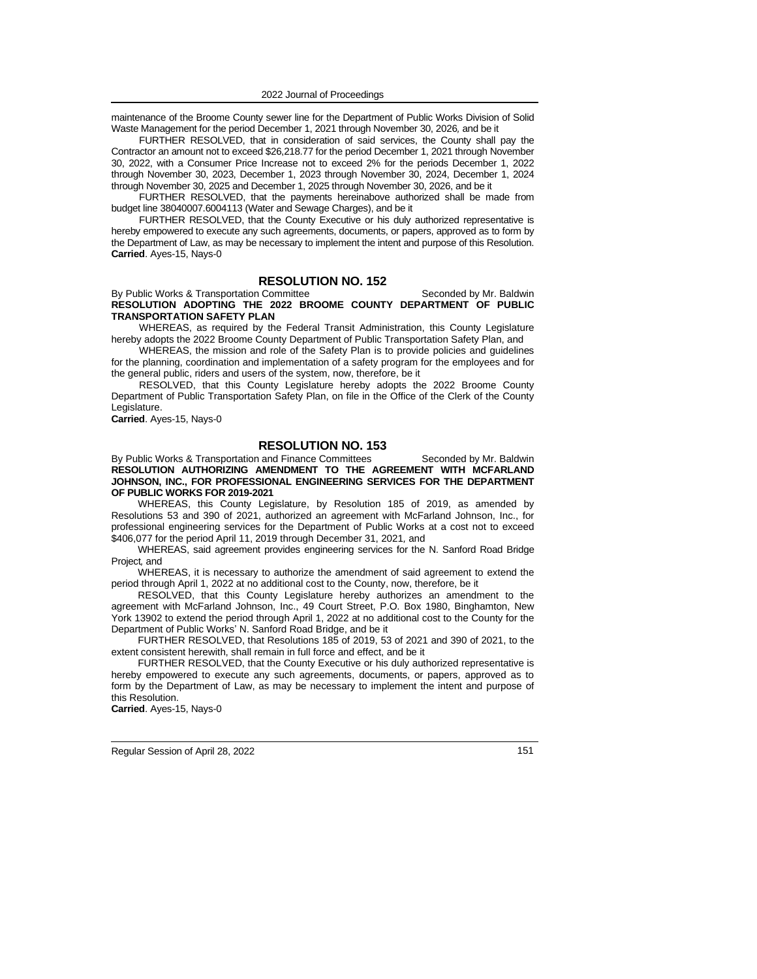maintenance of the Broome County sewer line for the Department of Public Works Division of Solid Waste Management for the period December 1, 2021 through November 30, 2026*,* and be it

FURTHER RESOLVED, that in consideration of said services, the County shall pay the Contractor an amount not to exceed \$26,218.77 for the period December 1, 2021 through November 30, 2022, with a Consumer Price Increase not to exceed 2% for the periods December 1, 2022 through November 30, 2023, December 1, 2023 through November 30, 2024, December 1, 2024 through November 30, 2025 and December 1, 2025 through November 30, 2026, and be it

FURTHER RESOLVED, that the payments hereinabove authorized shall be made from budget line 38040007.6004113 (Water and Sewage Charges), and be it

FURTHER RESOLVED, that the County Executive or his duly authorized representative is hereby empowered to execute any such agreements, documents, or papers, approved as to form by the Department of Law, as may be necessary to implement the intent and purpose of this Resolution. **Carried**. Ayes-15, Nays-0

# **RESOLUTION NO. 152**

By Public Works & Transportation Committee Seconded by Mr. Baldwin **RESOLUTION ADOPTING THE 2022 BROOME COUNTY DEPARTMENT OF PUBLIC TRANSPORTATION SAFETY PLAN**

WHEREAS, as required by the Federal Transit Administration, this County Legislature hereby adopts the 2022 Broome County Department of Public Transportation Safety Plan, and

WHEREAS, the mission and role of the Safety Plan is to provide policies and guidelines for the planning, coordination and implementation of a safety program for the employees and for the general public, riders and users of the system, now, therefore, be it

RESOLVED, that this County Legislature hereby adopts the 2022 Broome County Department of Public Transportation Safety Plan, on file in the Office of the Clerk of the County Legislature.

**Carried**. Ayes-15, Nays-0

## **RESOLUTION NO. 153**

By Public Works & Transportation and Finance Committees Seconded by Mr. Baldwin **RESOLUTION AUTHORIZING AMENDMENT TO THE AGREEMENT WITH MCFARLAND JOHNSON, INC., FOR PROFESSIONAL ENGINEERING SERVICES FOR THE DEPARTMENT OF PUBLIC WORKS FOR 2019-2021**

WHEREAS, this County Legislature, by Resolution 185 of 2019, as amended by Resolutions 53 and 390 of 2021, authorized an agreement with McFarland Johnson, Inc., for professional engineering services for the Department of Public Works at a cost not to exceed \$406,077 for the period April 11, 2019 through December 31, 2021*,* and

WHEREAS, said agreement provides engineering services for the N. Sanford Road Bridge Project*,* and

WHEREAS, it is necessary to authorize the amendment of said agreement to extend the period through April 1, 2022 at no additional cost to the County, now, therefore, be it

RESOLVED, that this County Legislature hereby authorizes an amendment to the agreement with McFarland Johnson, Inc., 49 Court Street, P.O. Box 1980, Binghamton, New York 13902 to extend the period through April 1, 2022 at no additional cost to the County for the Department of Public Works' N. Sanford Road Bridge, and be it

FURTHER RESOLVED, that Resolutions 185 of 2019, 53 of 2021 and 390 of 2021, to the extent consistent herewith, shall remain in full force and effect, and be it

FURTHER RESOLVED, that the County Executive or his duly authorized representative is hereby empowered to execute any such agreements, documents, or papers, approved as to form by the Department of Law, as may be necessary to implement the intent and purpose of this Resolution.

**Carried**. Ayes-15, Nays-0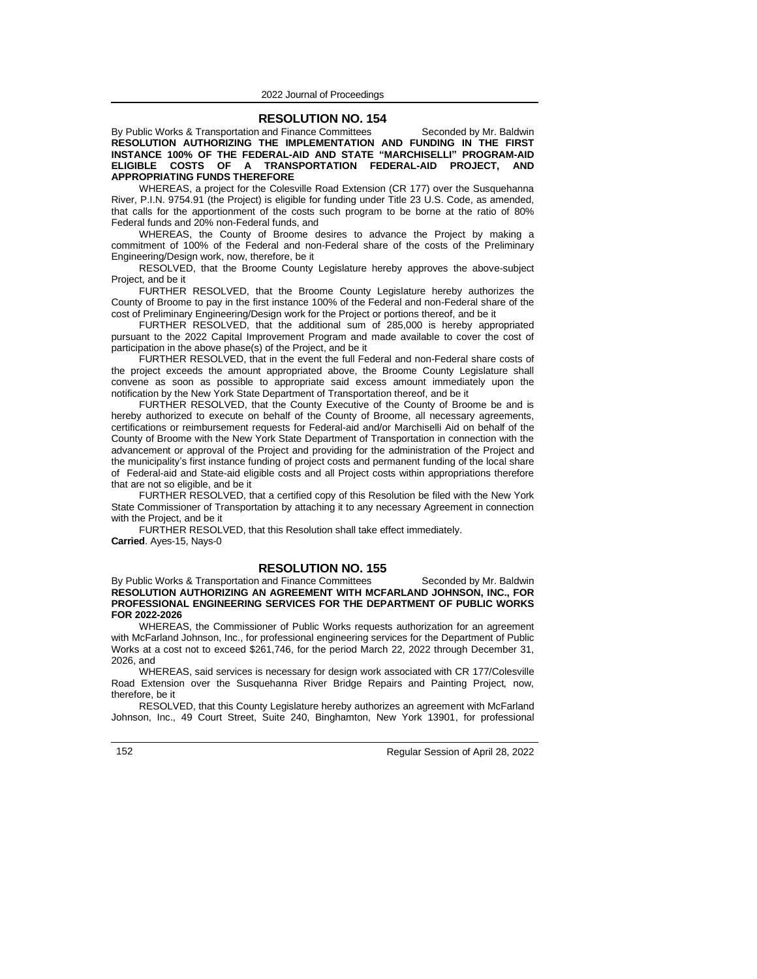## **RESOLUTION NO. 154**

By Public Works & Transportation and Finance Committees Seconded by Mr. Baldwin **RESOLUTION AUTHORIZING THE IMPLEMENTATION AND FUNDING IN THE FIRST INSTANCE 100% OF THE FEDERAL-AID AND STATE "MARCHISELLI" PROGRAM-AID ELIGIBLE COSTS OF A TRANSPORTATION FEDERAL-AID PROJECT, AND APPROPRIATING FUNDS THEREFORE**

WHEREAS, a project for the Colesville Road Extension (CR 177) over the Susquehanna River, P.I.N. 9754.91 (the Project) is eligible for funding under Title 23 U.S. Code, as amended, that calls for the apportionment of the costs such program to be borne at the ratio of 80% Federal funds and 20% non-Federal funds, and

WHEREAS, the County of Broome desires to advance the Project by making a commitment of 100% of the Federal and non-Federal share of the costs of the Preliminary Engineering/Design work, now, therefore, be it

RESOLVED, that the Broome County Legislature hereby approves the above-subject Project, and be it

FURTHER RESOLVED, that the Broome County Legislature hereby authorizes the County of Broome to pay in the first instance 100% of the Federal and non-Federal share of the cost of Preliminary Engineering/Design work for the Project or portions thereof, and be it

FURTHER RESOLVED, that the additional sum of 285,000 is hereby appropriated pursuant to the 2022 Capital Improvement Program and made available to cover the cost of participation in the above phase(s) of the Project, and be it

FURTHER RESOLVED, that in the event the full Federal and non-Federal share costs of the project exceeds the amount appropriated above, the Broome County Legislature shall convene as soon as possible to appropriate said excess amount immediately upon the notification by the New York State Department of Transportation thereof, and be it

FURTHER RESOLVED, that the County Executive of the County of Broome be and is hereby authorized to execute on behalf of the County of Broome, all necessary agreements, certifications or reimbursement requests for Federal-aid and/or Marchiselli Aid on behalf of the County of Broome with the New York State Department of Transportation in connection with the advancement or approval of the Project and providing for the administration of the Project and the municipality's first instance funding of project costs and permanent funding of the local share of Federal-aid and State-aid eligible costs and all Project costs within appropriations therefore that are not so eligible, and be it

FURTHER RESOLVED, that a certified copy of this Resolution be filed with the New York State Commissioner of Transportation by attaching it to any necessary Agreement in connection with the Project, and be it

FURTHER RESOLVED, that this Resolution shall take effect immediately. **Carried**. Ayes-15, Nays-0

## **RESOLUTION NO. 155**

By Public Works & Transportation and Finance Committees Seconded by Mr. Baldwin **RESOLUTION AUTHORIZING AN AGREEMENT WITH MCFARLAND JOHNSON, INC., FOR PROFESSIONAL ENGINEERING SERVICES FOR THE DEPARTMENT OF PUBLIC WORKS FOR 2022-2026**

WHEREAS, the Commissioner of Public Works requests authorization for an agreement with McFarland Johnson, Inc., for professional engineering services for the Department of Public Works at a cost not to exceed \$261,746, for the period March 22, 2022 through December 31, 2026, and

WHEREAS, said services is necessary for design work associated with CR 177/Colesville Road Extension over the Susquehanna River Bridge Repairs and Painting Project*,* now, therefore, be it

RESOLVED, that this County Legislature hereby authorizes an agreement with McFarland Johnson, Inc., 49 Court Street, Suite 240, Binghamton, New York 13901, for professional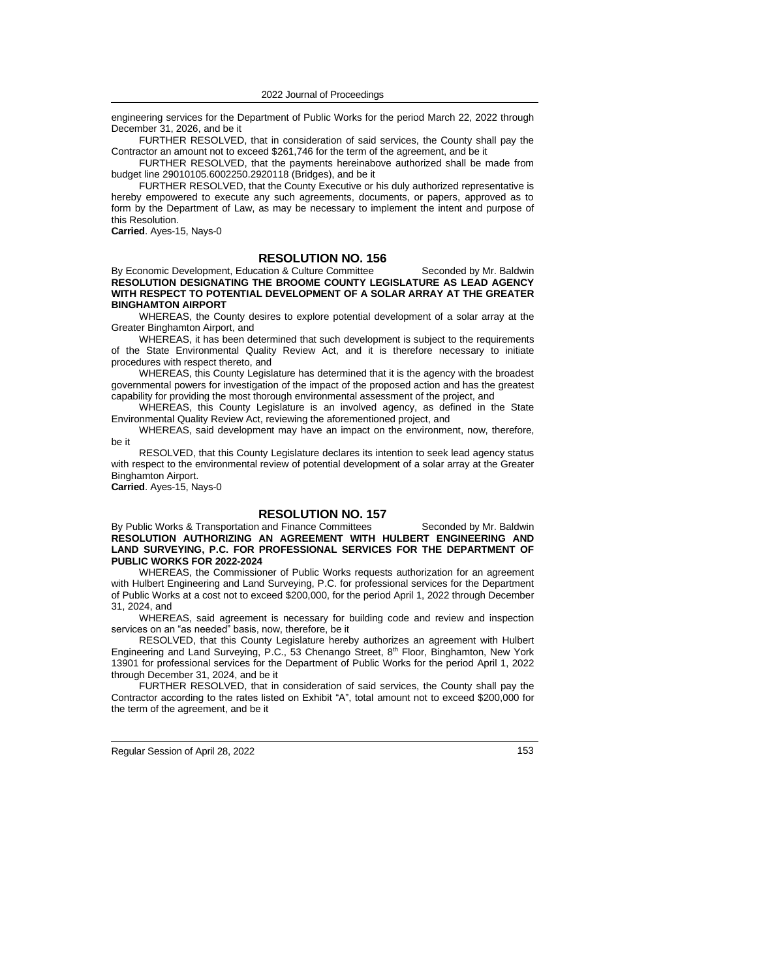engineering services for the Department of Public Works for the period March 22, 2022 through December 31, 2026, and be it

FURTHER RESOLVED, that in consideration of said services, the County shall pay the Contractor an amount not to exceed \$261,746 for the term of the agreement, and be it

FURTHER RESOLVED, that the payments hereinabove authorized shall be made from budget line 29010105.6002250.2920118 (Bridges), and be it

FURTHER RESOLVED, that the County Executive or his duly authorized representative is hereby empowered to execute any such agreements, documents, or papers, approved as to form by the Department of Law, as may be necessary to implement the intent and purpose of this Resolution.

**Carried**. Ayes-15, Nays-0

# **RESOLUTION NO. 156**

By Economic Development, Education & Culture Committee Seconded by Mr. Baldwin **RESOLUTION DESIGNATING THE BROOME COUNTY LEGISLATURE AS LEAD AGENCY WITH RESPECT TO POTENTIAL DEVELOPMENT OF A SOLAR ARRAY AT THE GREATER BINGHAMTON AIRPORT**

WHEREAS, the County desires to explore potential development of a solar array at the Greater Binghamton Airport, and

WHEREAS, it has been determined that such development is subject to the requirements of the State Environmental Quality Review Act, and it is therefore necessary to initiate procedures with respect thereto, and

WHEREAS, this County Legislature has determined that it is the agency with the broadest governmental powers for investigation of the impact of the proposed action and has the greatest capability for providing the most thorough environmental assessment of the project, and

WHEREAS, this County Legislature is an involved agency, as defined in the State Environmental Quality Review Act, reviewing the aforementioned project, and

WHEREAS, said development may have an impact on the environment, now, therefore, be it

RESOLVED, that this County Legislature declares its intention to seek lead agency status with respect to the environmental review of potential development of a solar array at the Greater Binghamton Airport.

**Carried**. Ayes-15, Nays-0

# **RESOLUTION NO. 157**

By Public Works & Transportation and Finance Committees Seconded by Mr. Baldwin **RESOLUTION AUTHORIZING AN AGREEMENT WITH HULBERT ENGINEERING AND LAND SURVEYING, P.C. FOR PROFESSIONAL SERVICES FOR THE DEPARTMENT OF PUBLIC WORKS FOR 2022-2024**

WHEREAS, the Commissioner of Public Works requests authorization for an agreement with Hulbert Engineering and Land Surveying, P.C. for professional services for the Department of Public Works at a cost not to exceed \$200,000, for the period April 1, 2022 through December 31, 2024, and

WHEREAS, said agreement is necessary for building code and review and inspection services on an "as needed" basis, now, therefore, be it

RESOLVED, that this County Legislature hereby authorizes an agreement with Hulbert Engineering and Land Surveying, P.C., 53 Chenango Street, 8th Floor, Binghamton, New York 13901 for professional services for the Department of Public Works for the period April 1, 2022 through December 31, 2024, and be it

FURTHER RESOLVED, that in consideration of said services, the County shall pay the Contractor according to the rates listed on Exhibit "A", total amount not to exceed \$200,000 for the term of the agreement, and be it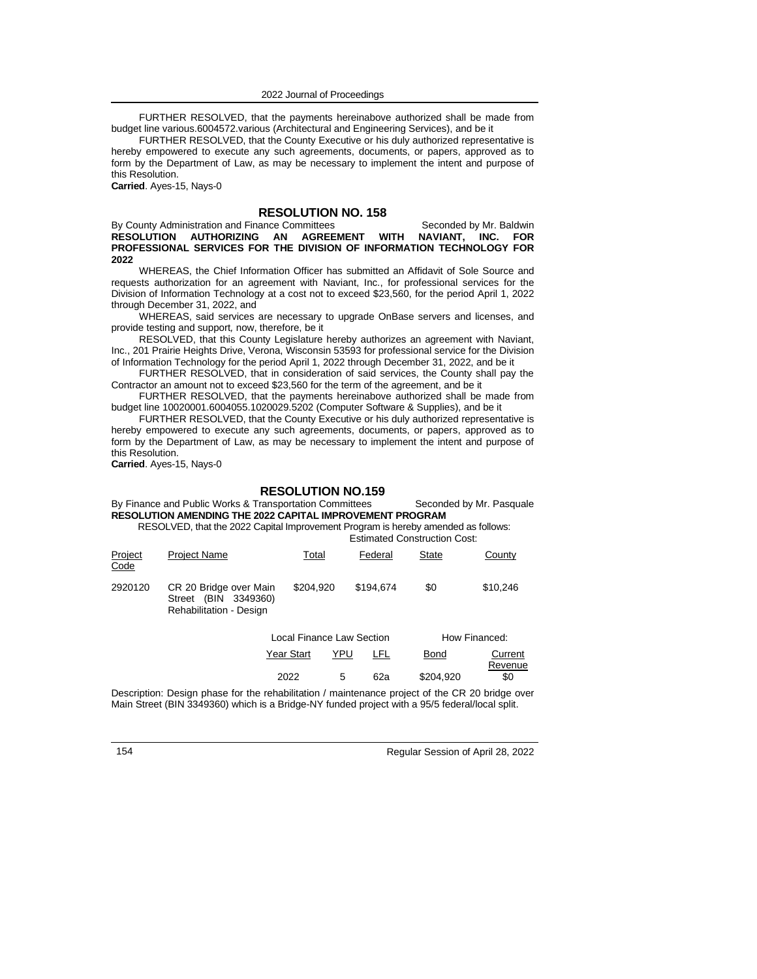FURTHER RESOLVED, that the payments hereinabove authorized shall be made from budget line various.6004572.various (Architectural and Engineering Services), and be it

FURTHER RESOLVED, that the County Executive or his duly authorized representative is hereby empowered to execute any such agreements, documents, or papers, approved as to form by the Department of Law, as may be necessary to implement the intent and purpose of this Resolution.

**Carried**. Ayes-15, Nays-0

# **RESOLUTION NO. 158**

By County Administration and Finance Committees Seconded by Mr. Baldwin<br>RESOLUTION AUTHORIZING AN AGREEMENT WITH NAVIANT. INC. FOR **RESOLUTION AUTHORIZING AN AGREEMENT WITH PROFESSIONAL SERVICES FOR THE DIVISION OF INFORMATION TECHNOLOGY FOR 2022**

WHEREAS, the Chief Information Officer has submitted an Affidavit of Sole Source and requests authorization for an agreement with Naviant, Inc., for professional services for the Division of Information Technology at a cost not to exceed \$23,560, for the period April 1, 2022 through December 31, 2022, and

WHEREAS, said services are necessary to upgrade OnBase servers and licenses, and provide testing and support*,* now, therefore, be it

RESOLVED, that this County Legislature hereby authorizes an agreement with Naviant, Inc., 201 Prairie Heights Drive, Verona, Wisconsin 53593 for professional service for the Division of Information Technology for the period April 1, 2022 through December 31, 2022, and be it

FURTHER RESOLVED, that in consideration of said services, the County shall pay the Contractor an amount not to exceed \$23,560 for the term of the agreement, and be it

FURTHER RESOLVED, that the payments hereinabove authorized shall be made from budget line 10020001.6004055.1020029.5202 (Computer Software & Supplies), and be it

FURTHER RESOLVED, that the County Executive or his duly authorized representative is hereby empowered to execute any such agreements, documents, or papers, approved as to form by the Department of Law, as may be necessary to implement the intent and purpose of this Resolution.

**Carried**. Ayes-15, Nays-0

## **RESOLUTION NO.159**

By Finance and Public Works & Transportation Committees Seconded by Mr. Pasquale **RESOLUTION AMENDING THE 2022 CAPITAL IMPROVEMENT PROGRAM** RESOLVED, that the 2022 Capital Improvement Program is hereby amended as follows:

Estimated Construction Cost:

| Project<br>Code | <b>Project Name</b>                                                                 | Total     | Federal   | <b>State</b> | County   |
|-----------------|-------------------------------------------------------------------------------------|-----------|-----------|--------------|----------|
| 2920120         | CR 20 Bridge over Main<br>(BIN 3349360)<br>Street<br><b>Rehabilitation - Design</b> | \$204.920 | \$194.674 | \$0          | \$10.246 |

| How Financed:      |             |     | Local Finance Law Section |            |  |
|--------------------|-------------|-----|---------------------------|------------|--|
| Current<br>Revenue | <b>Bond</b> | LFL | YPU                       | Year Start |  |
| \$0                | \$204.920   | 62а | 5                         | 2022       |  |

Description: Design phase for the rehabilitation / maintenance project of the CR 20 bridge over Main Street (BIN 3349360) which is a Bridge-NY funded project with a 95/5 federal/local split.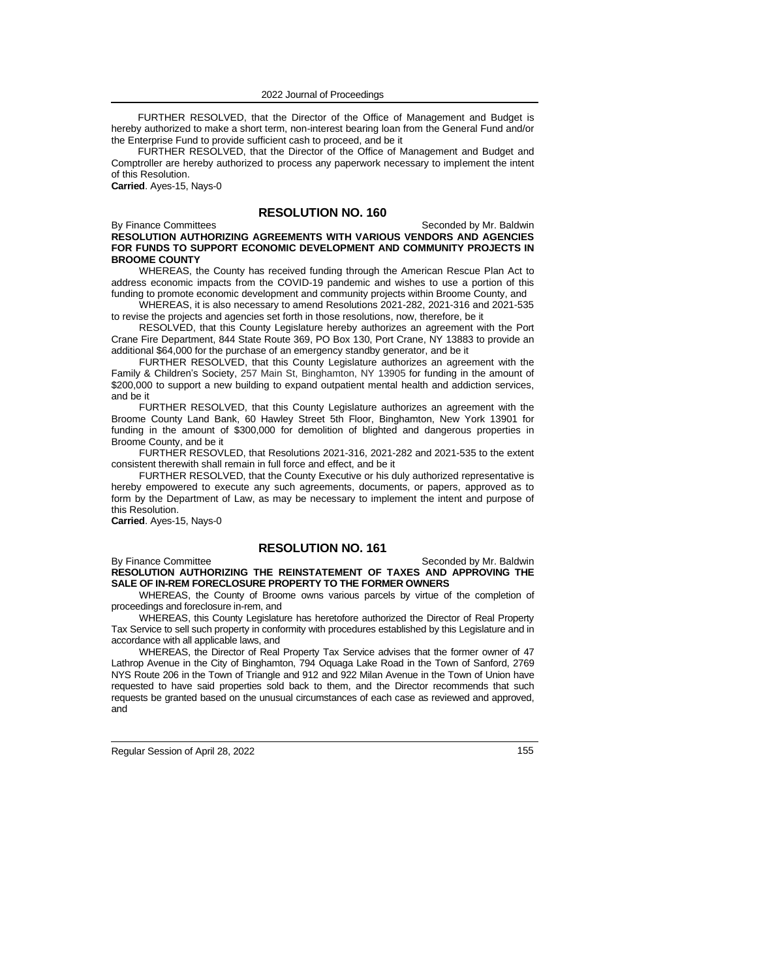FURTHER RESOLVED, that the Director of the Office of Management and Budget is hereby authorized to make a short term, non-interest bearing loan from the General Fund and/or the Enterprise Fund to provide sufficient cash to proceed, and be it

FURTHER RESOLVED, that the Director of the Office of Management and Budget and Comptroller are hereby authorized to process any paperwork necessary to implement the intent of this Resolution.

**Carried**. Ayes-15, Nays-0

# **RESOLUTION NO. 160**

## By Finance Committees Seconded by Mr. Baldwin **RESOLUTION AUTHORIZING AGREEMENTS WITH VARIOUS VENDORS AND AGENCIES FOR FUNDS TO SUPPORT ECONOMIC DEVELOPMENT AND COMMUNITY PROJECTS IN BROOME COUNTY**

WHEREAS, the County has received funding through the American Rescue Plan Act to address economic impacts from the COVID-19 pandemic and wishes to use a portion of this funding to promote economic development and community projects within Broome County, and

WHEREAS, it is also necessary to amend Resolutions 2021-282, 2021-316 and 2021-535 to revise the projects and agencies set forth in those resolutions, now, therefore, be it

RESOLVED, that this County Legislature hereby authorizes an agreement with the Port Crane Fire Department, 844 State Route 369, PO Box 130, Port Crane, NY 13883 to provide an additional \$64,000 for the purchase of an emergency standby generator, and be it

FURTHER RESOLVED, that this County Legislature authorizes an agreement with the Family & Children's Society, 257 Main St, Binghamton, NY 13905 for funding in the amount of \$200,000 to support a new building to expand outpatient mental health and addiction services, and be it

FURTHER RESOLVED, that this County Legislature authorizes an agreement with the Broome County Land Bank, 60 Hawley Street 5th Floor, Binghamton, New York 13901 for funding in the amount of \$300,000 for demolition of blighted and dangerous properties in Broome County, and be it

FURTHER RESOVLED, that Resolutions 2021-316, 2021-282 and 2021-535 to the extent consistent therewith shall remain in full force and effect, and be it

FURTHER RESOLVED, that the County Executive or his duly authorized representative is hereby empowered to execute any such agreements, documents, or papers, approved as to form by the Department of Law, as may be necessary to implement the intent and purpose of this Resolution.

**Carried**. Ayes-15, Nays-0

## **RESOLUTION NO. 161**

By Finance Committee Seconded by Mr. Baldwin **RESOLUTION AUTHORIZING THE REINSTATEMENT OF TAXES AND APPROVING THE SALE OF IN-REM FORECLOSURE PROPERTY TO THE FORMER OWNERS**

WHEREAS, the County of Broome owns various parcels by virtue of the completion of proceedings and foreclosure in-rem, and

WHEREAS, this County Legislature has heretofore authorized the Director of Real Property Tax Service to sell such property in conformity with procedures established by this Legislature and in accordance with all applicable laws, and

WHEREAS, the Director of Real Property Tax Service advises that the former owner of 47 Lathrop Avenue in the City of Binghamton, 794 Oquaga Lake Road in the Town of Sanford, 2769 NYS Route 206 in the Town of Triangle and 912 and 922 Milan Avenue in the Town of Union have requested to have said properties sold back to them, and the Director recommends that such requests be granted based on the unusual circumstances of each case as reviewed and approved, and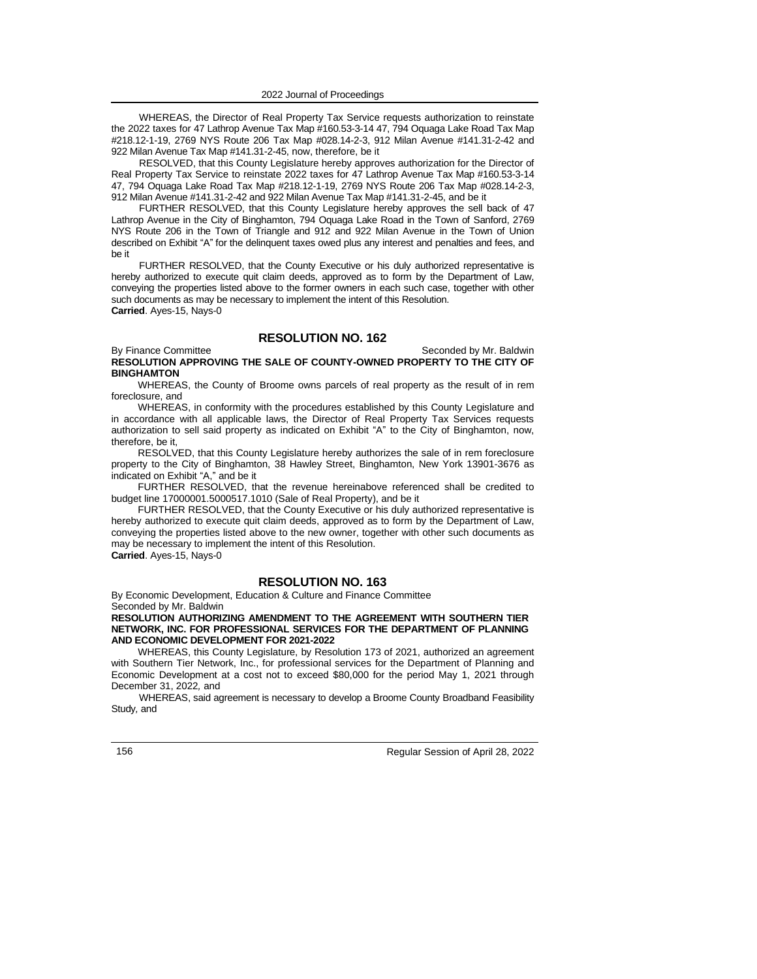WHEREAS, the Director of Real Property Tax Service requests authorization to reinstate the 2022 taxes for 47 Lathrop Avenue Tax Map #160.53-3-14 47, 794 Oquaga Lake Road Tax Map #218.12-1-19, 2769 NYS Route 206 Tax Map #028.14-2-3, 912 Milan Avenue #141.31-2-42 and 922 Milan Avenue Tax Map #141.31-2-45, now, therefore, be it

RESOLVED, that this County Legislature hereby approves authorization for the Director of Real Property Tax Service to reinstate 2022 taxes for 47 Lathrop Avenue Tax Map #160.53-3-14 47, 794 Oquaga Lake Road Tax Map #218.12-1-19, 2769 NYS Route 206 Tax Map #028.14-2-3, 912 Milan Avenue #141.31-2-42 and 922 Milan Avenue Tax Map #141.31-2-45, and be it

FURTHER RESOLVED, that this County Legislature hereby approves the sell back of 47 Lathrop Avenue in the City of Binghamton, 794 Oquaga Lake Road in the Town of Sanford, 2769 NYS Route 206 in the Town of Triangle and 912 and 922 Milan Avenue in the Town of Union described on Exhibit "A" for the delinquent taxes owed plus any interest and penalties and fees, and be it

FURTHER RESOLVED, that the County Executive or his duly authorized representative is hereby authorized to execute quit claim deeds, approved as to form by the Department of Law, conveying the properties listed above to the former owners in each such case, together with other such documents as may be necessary to implement the intent of this Resolution. **Carried**. Ayes-15, Nays-0

## **RESOLUTION NO. 162**

By Finance Committee Seconded by Mr. Baldwin **RESOLUTION APPROVING THE SALE OF COUNTY-OWNED PROPERTY TO THE CITY OF BINGHAMTON**

WHEREAS, the County of Broome owns parcels of real property as the result of in rem foreclosure, and

WHEREAS, in conformity with the procedures established by this County Legislature and in accordance with all applicable laws, the Director of Real Property Tax Services requests authorization to sell said property as indicated on Exhibit "A" to the City of Binghamton, now, therefore, be it,

RESOLVED, that this County Legislature hereby authorizes the sale of in rem foreclosure property to the City of Binghamton, 38 Hawley Street, Binghamton, New York 13901-3676 as indicated on Exhibit "A," and be it

FURTHER RESOLVED, that the revenue hereinabove referenced shall be credited to budget line 17000001.5000517.1010 (Sale of Real Property), and be it

FURTHER RESOLVED, that the County Executive or his duly authorized representative is hereby authorized to execute quit claim deeds, approved as to form by the Department of Law, conveying the properties listed above to the new owner, together with other such documents as may be necessary to implement the intent of this Resolution. **Carried**. Ayes-15, Nays-0

# **RESOLUTION NO. 163**

By Economic Development, Education & Culture and Finance Committee Seconded by Mr. Baldwin

**RESOLUTION AUTHORIZING AMENDMENT TO THE AGREEMENT WITH SOUTHERN TIER NETWORK, INC. FOR PROFESSIONAL SERVICES FOR THE DEPARTMENT OF PLANNING AND ECONOMIC DEVELOPMENT FOR 2021-2022**

WHEREAS, this County Legislature, by Resolution 173 of 2021, authorized an agreement with Southern Tier Network, Inc., for professional services for the Department of Planning and Economic Development at a cost not to exceed \$80,000 for the period May 1, 2021 through December 31, 2022*,* and

WHEREAS, said agreement is necessary to develop a Broome County Broadband Feasibility Study*,* and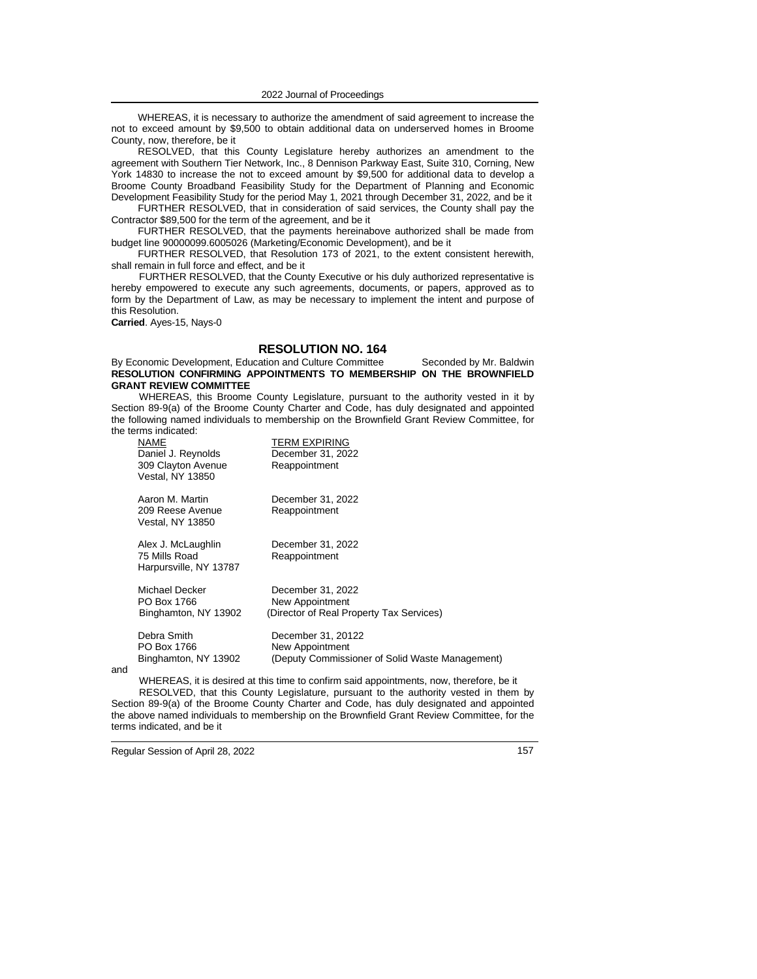WHEREAS, it is necessary to authorize the amendment of said agreement to increase the not to exceed amount by \$9,500 to obtain additional data on underserved homes in Broome County, now, therefore, be it

RESOLVED, that this County Legislature hereby authorizes an amendment to the agreement with Southern Tier Network, Inc., 8 Dennison Parkway East, Suite 310, Corning, New York 14830 to increase the not to exceed amount by \$9,500 for additional data to develop a Broome County Broadband Feasibility Study for the Department of Planning and Economic Development Feasibility Study for the period May 1, 2021 through December 31, 2022*,* and be it

FURTHER RESOLVED, that in consideration of said services, the County shall pay the Contractor \$89,500 for the term of the agreement, and be it

FURTHER RESOLVED, that the payments hereinabove authorized shall be made from budget line 90000099.6005026 (Marketing/Economic Development), and be it

FURTHER RESOLVED, that Resolution 173 of 2021, to the extent consistent herewith, shall remain in full force and effect, and be it

FURTHER RESOLVED, that the County Executive or his duly authorized representative is hereby empowered to execute any such agreements, documents, or papers, approved as to form by the Department of Law, as may be necessary to implement the intent and purpose of this Resolution.

**Carried**. Ayes-15, Nays-0

# **RESOLUTION NO. 164**

#### By Economic Development, Education and Culture Committee Seconded by Mr. Baldwin **RESOLUTION CONFIRMING APPOINTMENTS TO MEMBERSHIP ON THE BROWNFIELD GRANT REVIEW COMMITTEE**

WHEREAS, this Broome County Legislature, pursuant to the authority vested in it by Section 89-9(a) of the Broome County Charter and Code, has duly designated and appointed the following named individuals to membership on the Brownfield Grant Review Committee, for the terms indicated:

| NAME<br>Daniel J. Reynolds<br>309 Clayton Avenue<br><b>Vestal, NY 13850</b> | <b>TERM EXPIRING</b><br>December 31, 2022<br>Reappointment                               |
|-----------------------------------------------------------------------------|------------------------------------------------------------------------------------------|
| Aaron M. Martin<br>209 Reese Avenue<br>Vestal, NY 13850                     | December 31, 2022<br>Reappointment                                                       |
| Alex J. McLaughlin<br>75 Mills Road<br>Harpursville, NY 13787               | December 31, 2022<br>Reappointment                                                       |
| Michael Decker<br>PO Box 1766<br>Binghamton, NY 13902                       | December 31, 2022<br>New Appointment<br>(Director of Real Property Tax Services)         |
| Debra Smith<br>PO Box 1766<br>Binghamton, NY 13902                          | December 31, 20122<br>New Appointment<br>(Deputy Commissioner of Solid Waste Management) |

and

WHEREAS, it is desired at this time to confirm said appointments, now, therefore, be it RESOLVED, that this County Legislature, pursuant to the authority vested in them by Section 89-9(a) of the Broome County Charter and Code, has duly designated and appointed the above named individuals to membership on the Brownfield Grant Review Committee, for the terms indicated, and be it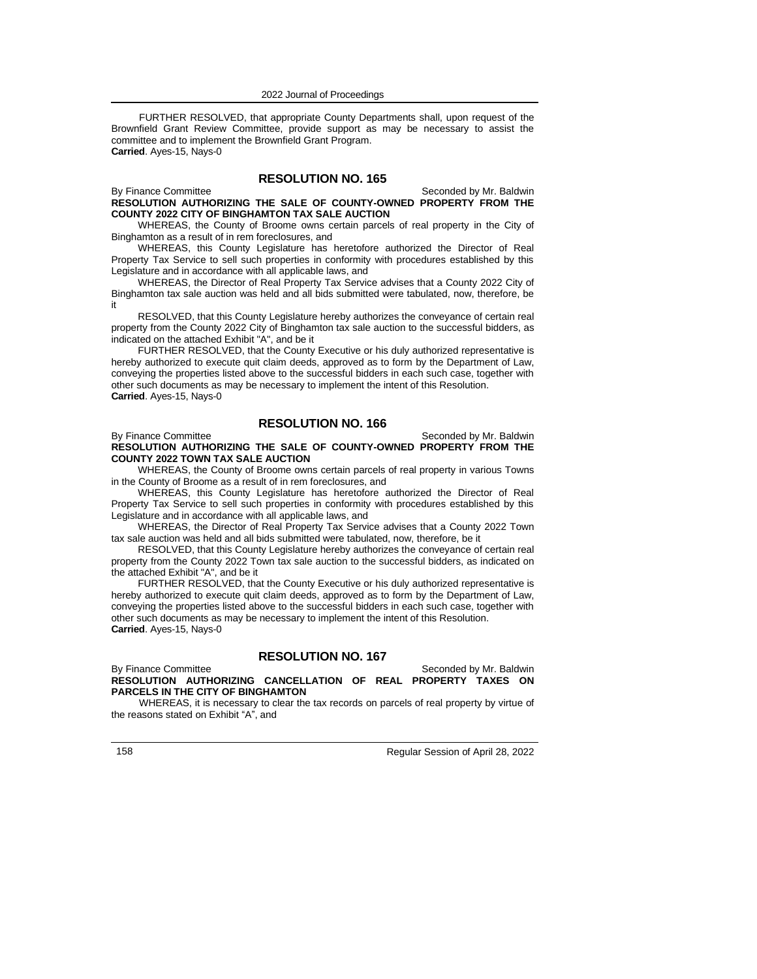FURTHER RESOLVED, that appropriate County Departments shall, upon request of the Brownfield Grant Review Committee, provide support as may be necessary to assist the committee and to implement the Brownfield Grant Program. **Carried**. Ayes-15, Nays-0

## **RESOLUTION NO. 165**

By Finance Committee Seconded by Mr. Baldwin **RESOLUTION AUTHORIZING THE SALE OF COUNTY-OWNED PROPERTY FROM THE COUNTY 2022 CITY OF BINGHAMTON TAX SALE AUCTION**

WHEREAS, the County of Broome owns certain parcels of real property in the City of Binghamton as a result of in rem foreclosures, and

WHEREAS, this County Legislature has heretofore authorized the Director of Real Property Tax Service to sell such properties in conformity with procedures established by this Legislature and in accordance with all applicable laws, and

WHEREAS, the Director of Real Property Tax Service advises that a County 2022 City of Binghamton tax sale auction was held and all bids submitted were tabulated, now, therefore, be it

RESOLVED, that this County Legislature hereby authorizes the conveyance of certain real property from the County 2022 City of Binghamton tax sale auction to the successful bidders, as indicated on the attached Exhibit "A", and be it

FURTHER RESOLVED, that the County Executive or his duly authorized representative is hereby authorized to execute quit claim deeds, approved as to form by the Department of Law, conveying the properties listed above to the successful bidders in each such case, together with other such documents as may be necessary to implement the intent of this Resolution. **Carried**. Ayes-15, Nays-0

# **RESOLUTION NO. 166**

By Finance Committee **Seconded by Mr. Baldwin RESOLUTION AUTHORIZING THE SALE OF COUNTY-OWNED PROPERTY FROM THE COUNTY 2022 TOWN TAX SALE AUCTION**

WHEREAS, the County of Broome owns certain parcels of real property in various Towns in the County of Broome as a result of in rem foreclosures, and

WHEREAS, this County Legislature has heretofore authorized the Director of Real Property Tax Service to sell such properties in conformity with procedures established by this Legislature and in accordance with all applicable laws, and

WHEREAS, the Director of Real Property Tax Service advises that a County 2022 Town tax sale auction was held and all bids submitted were tabulated, now, therefore, be it

RESOLVED, that this County Legislature hereby authorizes the conveyance of certain real property from the County 2022 Town tax sale auction to the successful bidders, as indicated on the attached Exhibit "A", and be it

FURTHER RESOLVED, that the County Executive or his duly authorized representative is hereby authorized to execute quit claim deeds, approved as to form by the Department of Law, conveying the properties listed above to the successful bidders in each such case, together with other such documents as may be necessary to implement the intent of this Resolution. **Carried**. Ayes-15, Nays-0

## **RESOLUTION NO. 167**

By Finance Committee Seconded by Mr. Baldwin **RESOLUTION AUTHORIZING CANCELLATION OF REAL PROPERTY TAXES ON PARCELS IN THE CITY OF BINGHAMTON**

WHEREAS, it is necessary to clear the tax records on parcels of real property by virtue of the reasons stated on Exhibit "A", and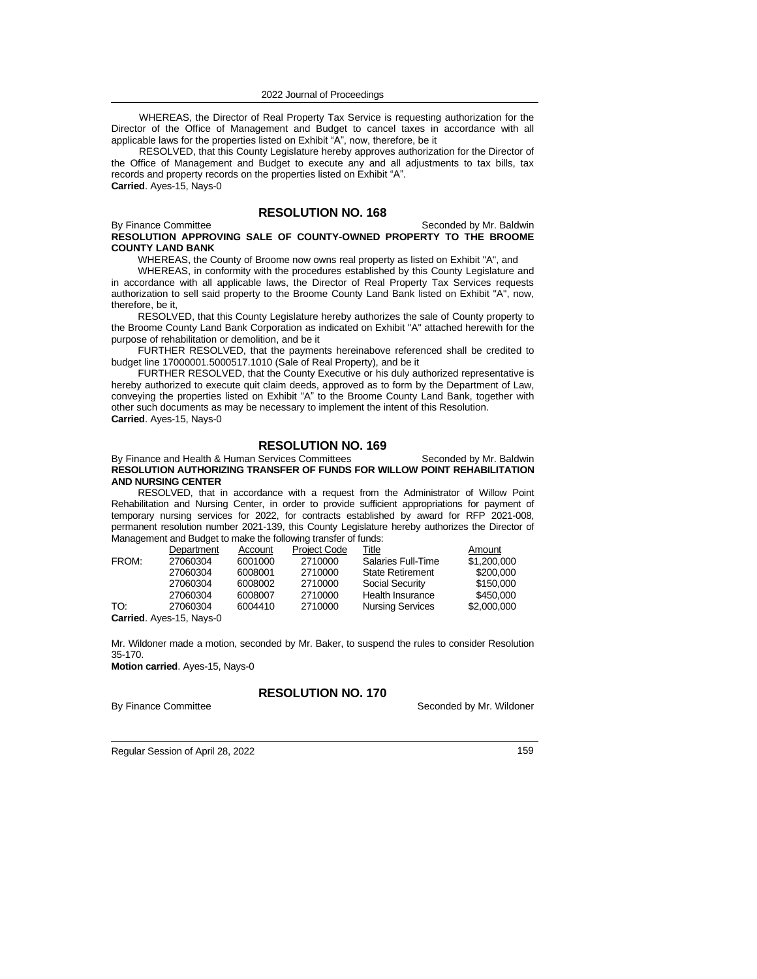WHEREAS, the Director of Real Property Tax Service is requesting authorization for the Director of the Office of Management and Budget to cancel taxes in accordance with all applicable laws for the properties listed on Exhibit "A", now, therefore, be it

RESOLVED, that this County Legislature hereby approves authorization for the Director of the Office of Management and Budget to execute any and all adjustments to tax bills, tax records and property records on the properties listed on Exhibit "A". **Carried**. Ayes-15, Nays-0

# **RESOLUTION NO. 168**

#### By Finance Committee Seconded by Mr. Baldwin **RESOLUTION APPROVING SALE OF COUNTY-OWNED PROPERTY TO THE BROOME COUNTY LAND BANK**

WHEREAS, the County of Broome now owns real property as listed on Exhibit "A", and

WHEREAS, in conformity with the procedures established by this County Legislature and in accordance with all applicable laws, the Director of Real Property Tax Services requests authorization to sell said property to the Broome County Land Bank listed on Exhibit "A", now, therefore, be it,

RESOLVED, that this County Legislature hereby authorizes the sale of County property to the Broome County Land Bank Corporation as indicated on Exhibit "A" attached herewith for the purpose of rehabilitation or demolition, and be it

FURTHER RESOLVED, that the payments hereinabove referenced shall be credited to budget line 17000001.5000517.1010 (Sale of Real Property), and be it

FURTHER RESOLVED, that the County Executive or his duly authorized representative is hereby authorized to execute quit claim deeds, approved as to form by the Department of Law, conveying the properties listed on Exhibit "A" to the Broome County Land Bank, together with other such documents as may be necessary to implement the intent of this Resolution. **Carried**. Ayes-15, Nays-0

## **RESOLUTION NO. 169**

By Finance and Health & Human Services Committees Seconded by Mr. Baldwin **RESOLUTION AUTHORIZING TRANSFER OF FUNDS FOR WILLOW POINT REHABILITATION AND NURSING CENTER**

RESOLVED, that in accordance with a request from the Administrator of Willow Point Rehabilitation and Nursing Center, in order to provide sufficient appropriations for payment of temporary nursing services for 2022, for contracts established by award for RFP 2021-008, permanent resolution number 2021-139, this County Legislature hereby authorizes the Director of Management and Budget to make the following transfer of funds:

|                          | Department | Account | <b>Project Code</b> | Title                   | Amount      |
|--------------------------|------------|---------|---------------------|-------------------------|-------------|
| FROM:                    | 27060304   | 6001000 | 2710000             | Salaries Full-Time      | \$1,200,000 |
|                          | 27060304   | 6008001 | 2710000             | <b>State Retirement</b> | \$200,000   |
|                          | 27060304   | 6008002 | 2710000             | <b>Social Security</b>  | \$150,000   |
|                          | 27060304   | 6008007 | 2710000             | Health Insurance        | \$450,000   |
| TO:                      | 27060304   | 6004410 | 2710000             | <b>Nursing Services</b> | \$2,000,000 |
| Carried. Ayes-15, Nays-0 |            |         |                     |                         |             |

Mr. Wildoner made a motion, seconded by Mr. Baker, to suspend the rules to consider Resolution 35-170.

**Motion carried**. Ayes-15, Nays-0

**RESOLUTION NO. 170**

By Finance Committee Seconded by Mr. Wildoner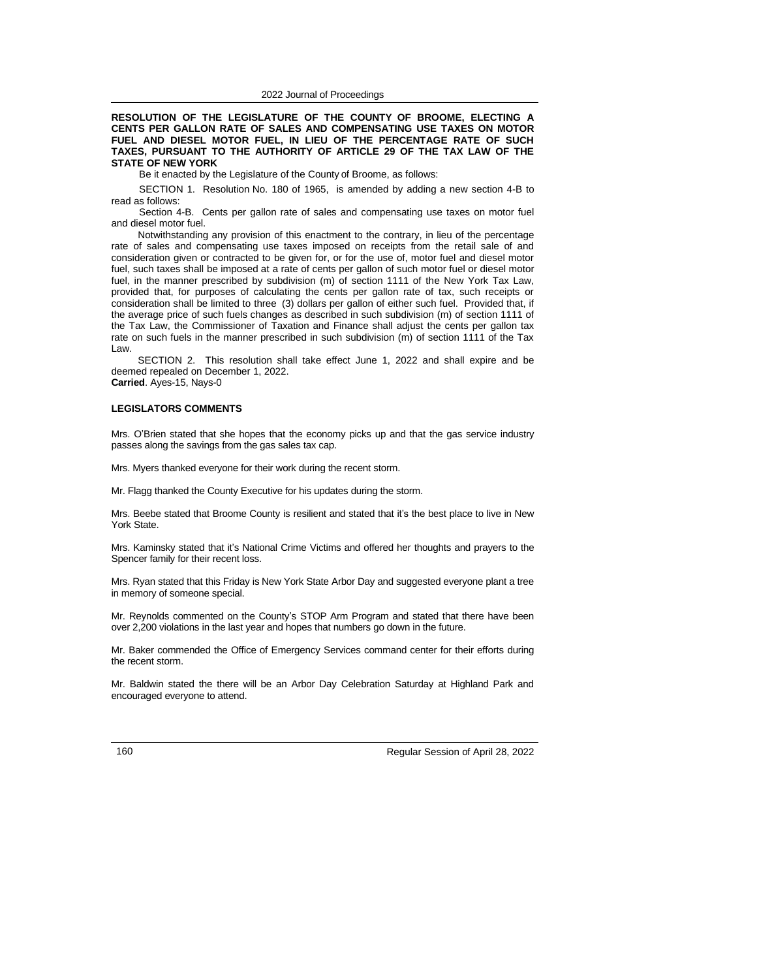**RESOLUTION OF THE LEGISLATURE OF THE COUNTY OF BROOME, ELECTING A CENTS PER GALLON RATE OF SALES AND COMPENSATING USE TAXES ON MOTOR FUEL AND DIESEL MOTOR FUEL, IN LIEU OF THE PERCENTAGE RATE OF SUCH TAXES, PURSUANT TO THE AUTHORITY OF ARTICLE 29 OF THE TAX LAW OF THE STATE OF NEW YORK**

Be it enacted by the Legislature of the County of Broome, as follows:

SECTION 1. Resolution No. 180 of 1965, is amended by adding a new section 4-B to read as follows:

Section 4-B. Cents per gallon rate of sales and compensating use taxes on motor fuel and diesel motor fuel.

Notwithstanding any provision of this enactment to the contrary, in lieu of the percentage rate of sales and compensating use taxes imposed on receipts from the retail sale of and consideration given or contracted to be given for, or for the use of, motor fuel and diesel motor fuel, such taxes shall be imposed at a rate of cents per gallon of such motor fuel or diesel motor fuel, in the manner prescribed by subdivision (m) of section 1111 of the New York Tax Law, provided that, for purposes of calculating the cents per gallon rate of tax, such receipts or consideration shall be limited to three (3) dollars per gallon of either such fuel. Provided that, if the average price of such fuels changes as described in such subdivision (m) of section 1111 of the Tax Law, the Commissioner of Taxation and Finance shall adjust the cents per gallon tax rate on such fuels in the manner prescribed in such subdivision (m) of section 1111 of the Tax Law.

SECTION 2. This resolution shall take effect June 1, 2022 and shall expire and be deemed repealed on December 1, 2022.

**Carried**. Ayes-15, Nays-0

## **LEGISLATORS COMMENTS**

Mrs. O'Brien stated that she hopes that the economy picks up and that the gas service industry passes along the savings from the gas sales tax cap.

Mrs. Myers thanked everyone for their work during the recent storm.

Mr. Flagg thanked the County Executive for his updates during the storm.

Mrs. Beebe stated that Broome County is resilient and stated that it's the best place to live in New York State.

Mrs. Kaminsky stated that it's National Crime Victims and offered her thoughts and prayers to the Spencer family for their recent loss.

Mrs. Ryan stated that this Friday is New York State Arbor Day and suggested everyone plant a tree in memory of someone special.

Mr. Reynolds commented on the County's STOP Arm Program and stated that there have been over 2,200 violations in the last year and hopes that numbers go down in the future.

Mr. Baker commended the Office of Emergency Services command center for their efforts during the recent storm.

Mr. Baldwin stated the there will be an Arbor Day Celebration Saturday at Highland Park and encouraged everyone to attend.